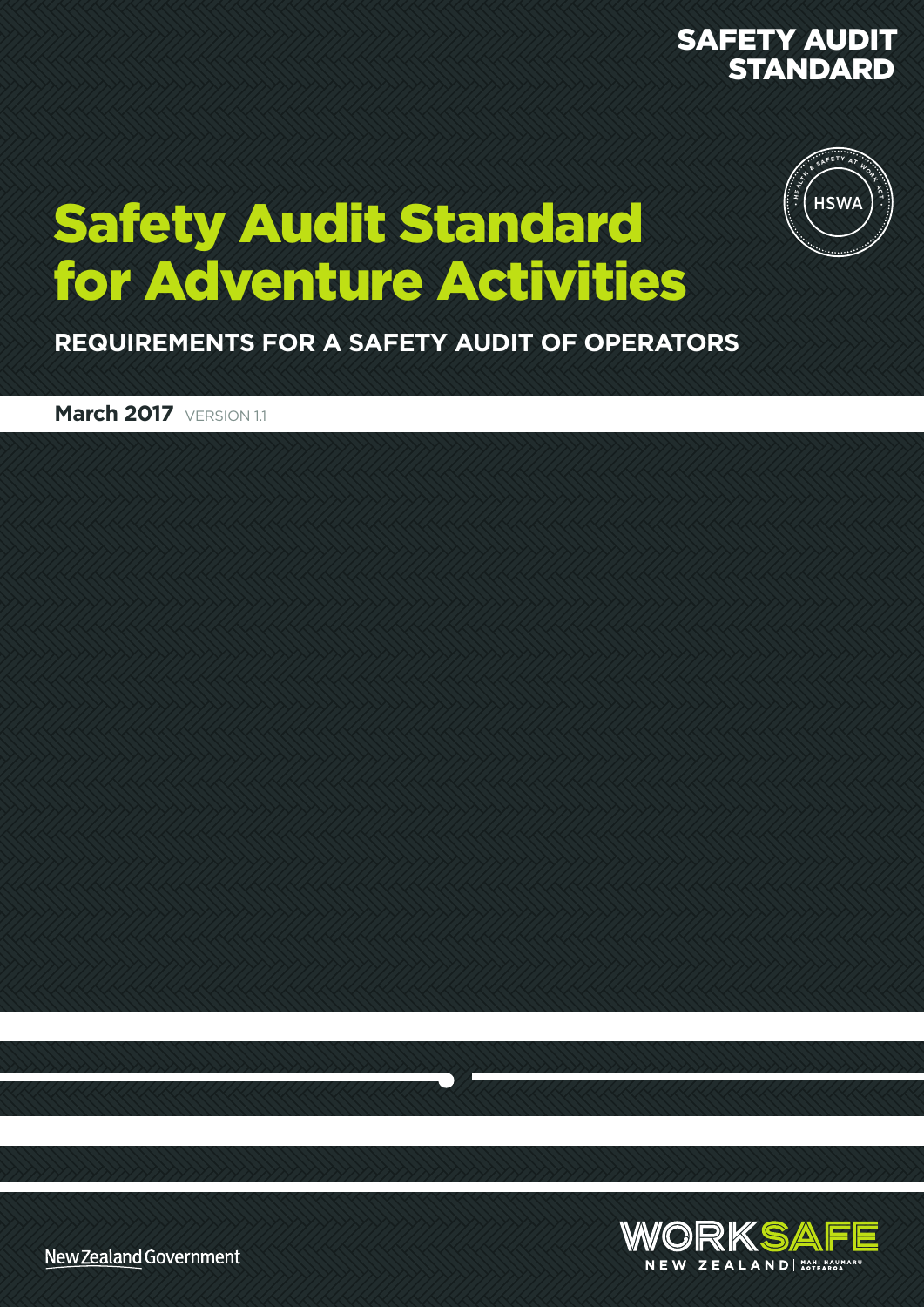#### SAFETY AUDIT STANDARD



### Safety Audit Standard for Adventure Activities

**REQUIREMENTS FOR A SAFETY AUDIT OF OPERATORS**

**March 2017 VERSION 1.1** 



New Zealand Government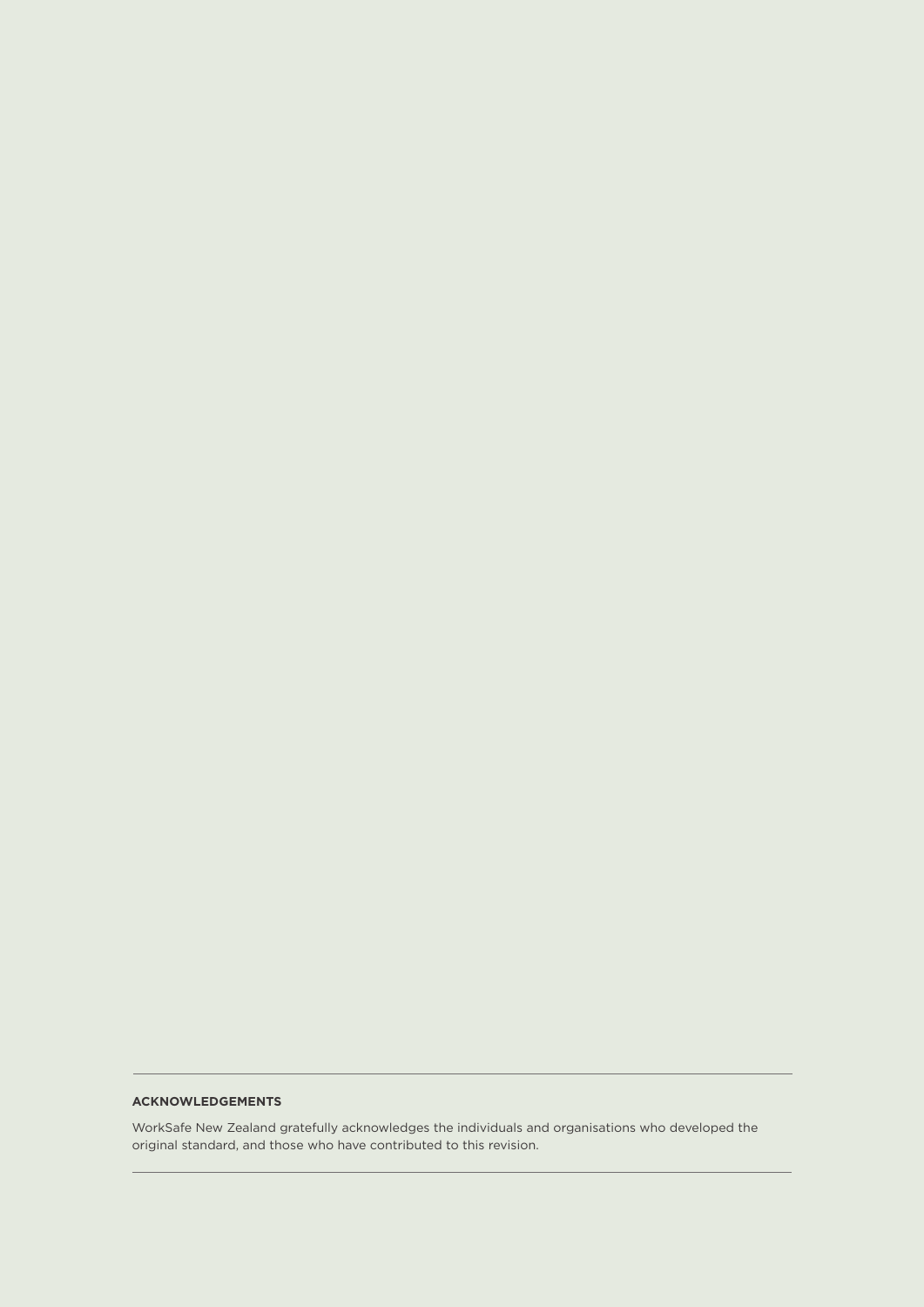#### **ACKNOWLEDGEMENTS**

WorkSafe New Zealand gratefully acknowledges the individuals and organisations who developed the original standard, and those who have contributed to this revision.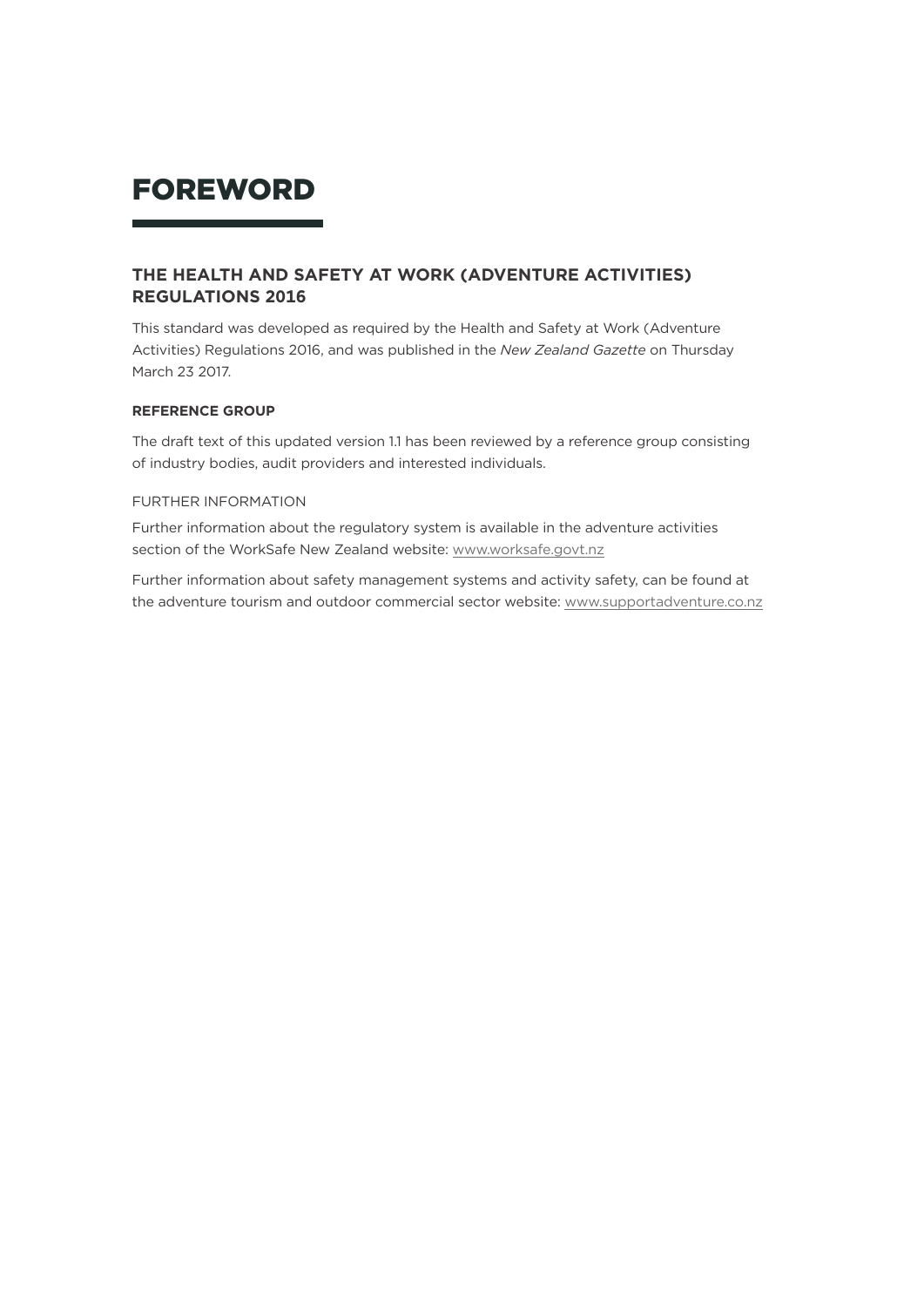#### FOREWORD

#### **THE HEALTH AND SAFETY AT WORK (ADVENTURE ACTIVITIES) REGULATIONS 2016**

This standard was developed as required by the Health and Safety at Work (Adventure Activities) Regulations 2016, and was published in the *New Zealand Gazette* on Thursday March 23 2017.

#### **REFERENCE GROUP**

The draft text of this updated version 1.1 has been reviewed by a reference group consisting of industry bodies, audit providers and interested individuals.

#### FURTHER INFORMATION

Further information about the regulatory system is available in the adventure activities section of the WorkSafe New Zealand website: [www.worksafe.govt.nz](http://www.worksafe.govt.nz/worksafe/about/what-we-do/adventure-activities)

Further information about safety management systems and activity safety, can be found at the adventure tourism and outdoor commercial sector website: [www.supportadventure.co.nz](http://www.supportadventure.co.nz/)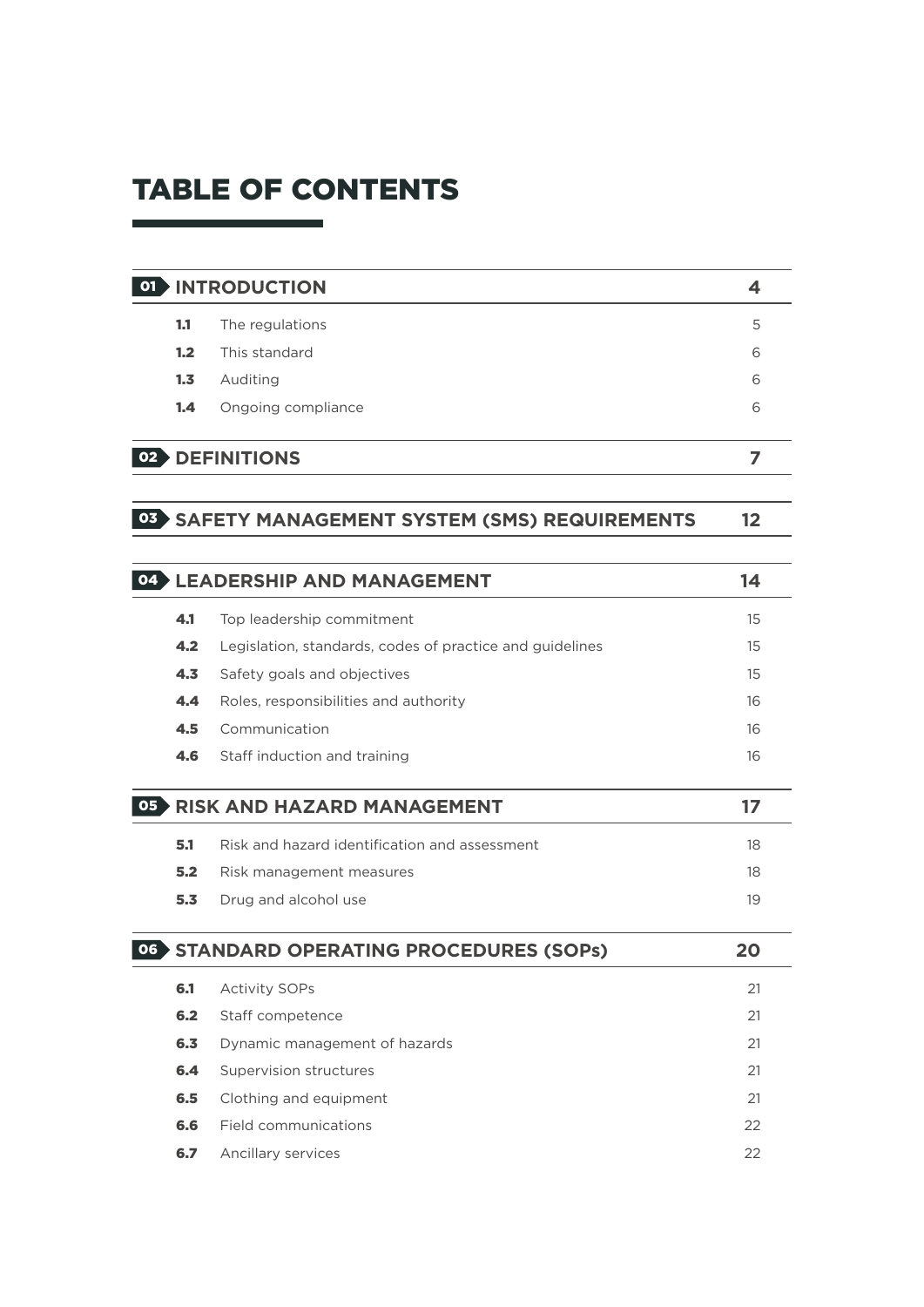#### TABLE OF CONTENTS

#### 01 **INTRODUCTION 4**

| 1.1              | The regulations    | 5 |
|------------------|--------------------|---|
| 1.2 <sub>2</sub> | This standard      | 6 |
| 1.3              | Auditing           | 6 |
| 1.4              | Ongoing compliance | 6 |
|                  |                    |   |

#### 02 **DEFINITIONS 7**

#### 03 **SAFETY MANAGEMENT SYSTEM (SMS) REQUIREMENTS 12**

|     | <b>LEADERSHIP AND MANAGEMENT</b>                         | 14 |
|-----|----------------------------------------------------------|----|
| 4.1 | Top leadership commitment                                | 15 |
| 4.2 | Legislation, standards, codes of practice and guidelines | 15 |
| 4.3 | Safety goals and objectives                              | 15 |
| 4.4 | Roles, responsibilities and authority                    | 16 |
| 4.5 | Communication                                            | 16 |
| 4.6 | Staff induction and training                             | 16 |
|     |                                                          |    |
|     | <b>RISK AND HAZARD MANAGEMENT</b>                        | 17 |
| 5.1 | Risk and hazard identification and assessment            | 18 |
| 5.2 | Risk management measures                                 | 18 |
| 5.3 | Drug and alcohol use                                     | 19 |
|     |                                                          |    |
|     | <b>STANDARD OPERATING PROCEDURES (SOPS)</b>              | 20 |

| 6.1 | <b>Activity SOPs</b>          | 21 |
|-----|-------------------------------|----|
| 6.2 | Staff competence              | 21 |
| 6.3 | Dynamic management of hazards | 21 |
| 6.4 | Supervision structures        | 21 |
| 6.5 | Clothing and equipment        | 21 |
| 6.6 | Field communications          | 22 |
| 6.7 | Ancillary services            | 22 |
|     |                               |    |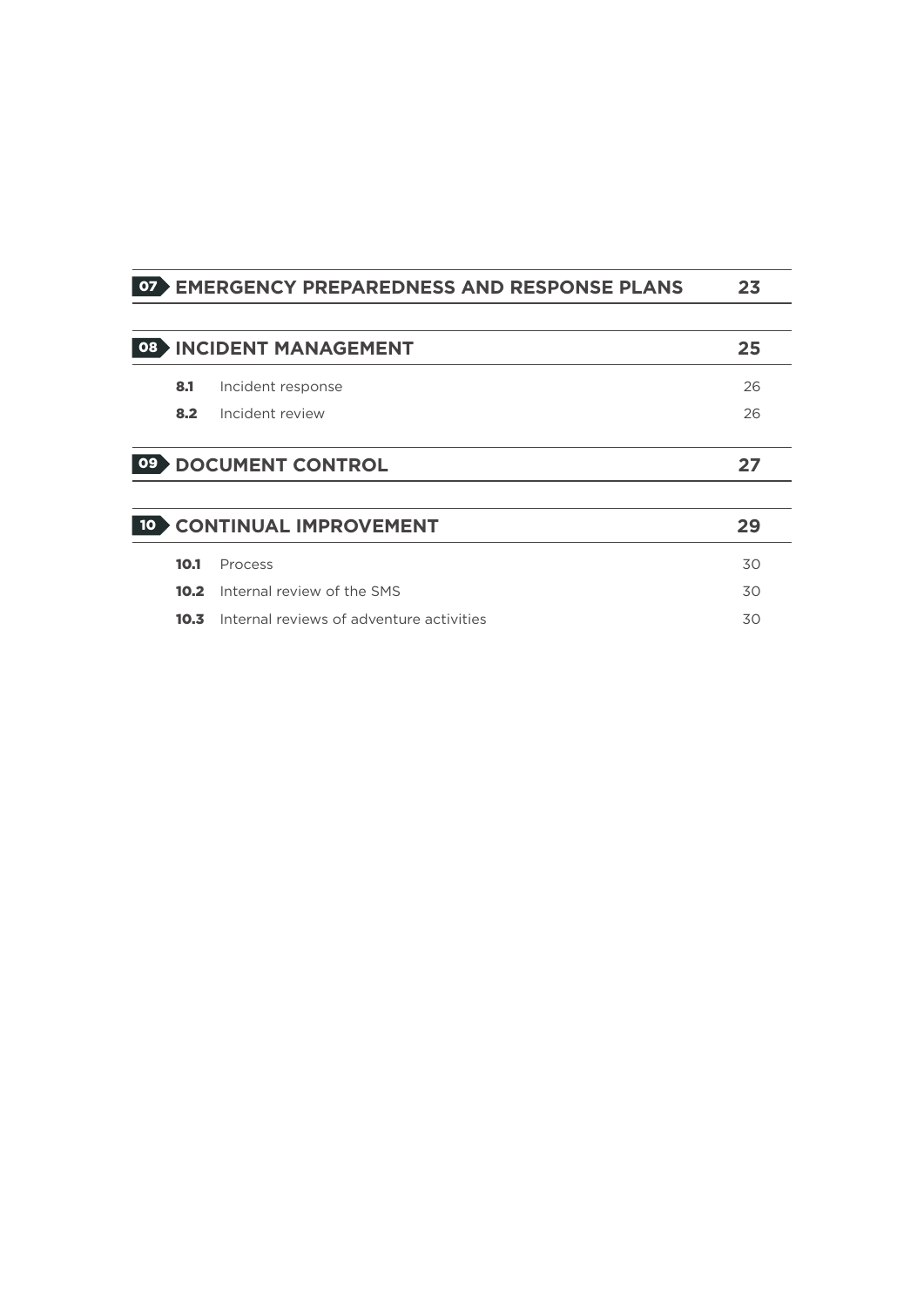| 07 |      | <b>EMERGENCY PREPAREDNESS AND RESPONSE PLANS</b> | 23 |
|----|------|--------------------------------------------------|----|
|    |      |                                                  |    |
| 08 |      | <b>INCIDENT MANAGEMENT</b>                       | 25 |
|    | 8.1  | Incident response                                | 26 |
|    | 8.2  | Incident review                                  | 26 |
| 09 |      | <b>DOCUMENT CONTROL</b>                          | 27 |
|    |      |                                                  |    |
|    |      | <b>CONTINUAL IMPROVEMENT</b>                     | 29 |
|    | 10.1 | Process                                          | 30 |
|    | 10.2 | Internal review of the SMS                       | 30 |
|    | 10.3 | Internal reviews of adventure activities         | 30 |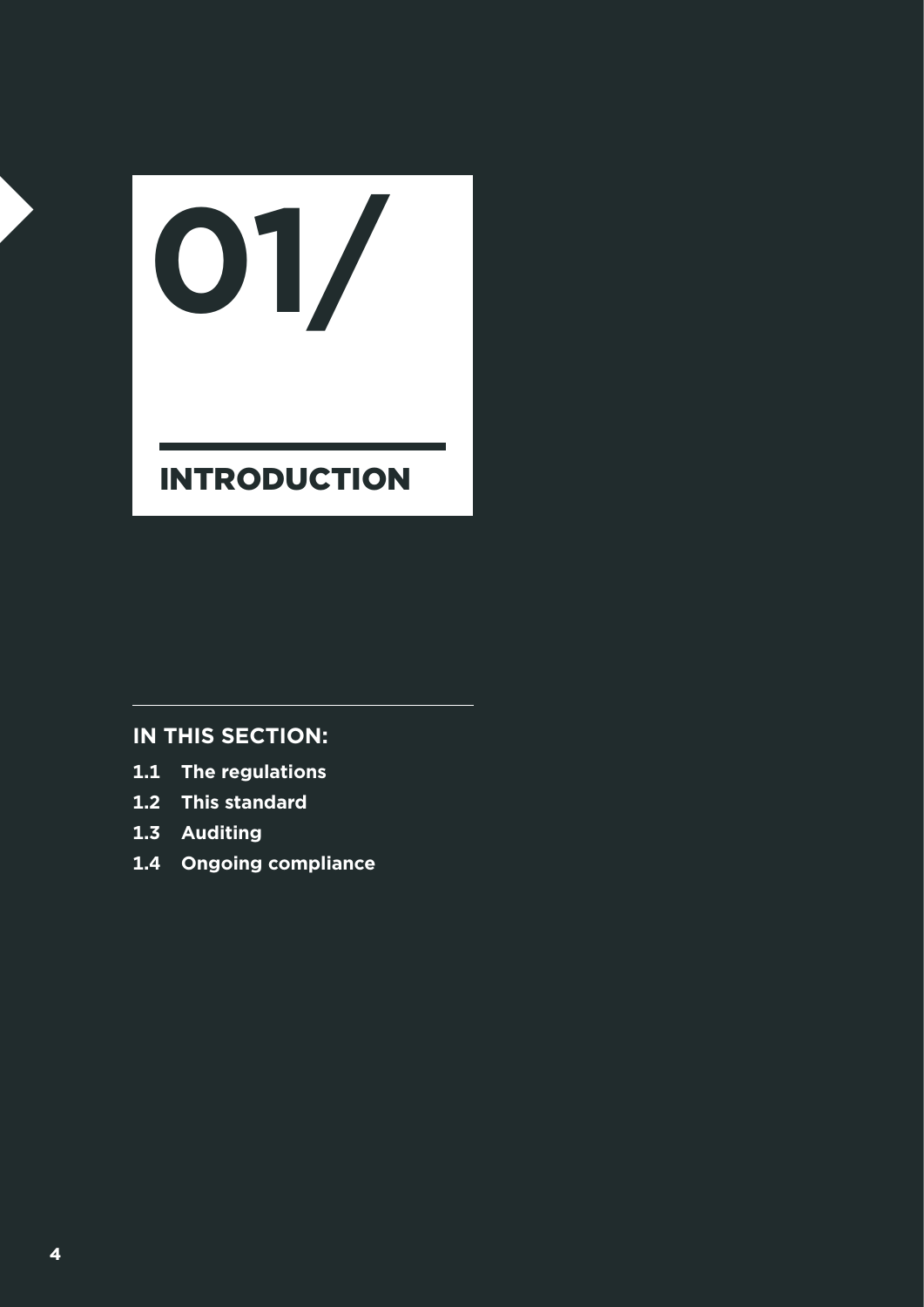# INTRODUCTION **01/**

- **1.1 The regulations**
- **1.2 This standard**
- **1.3 Auditing**
- **1.4 Ongoing compliance**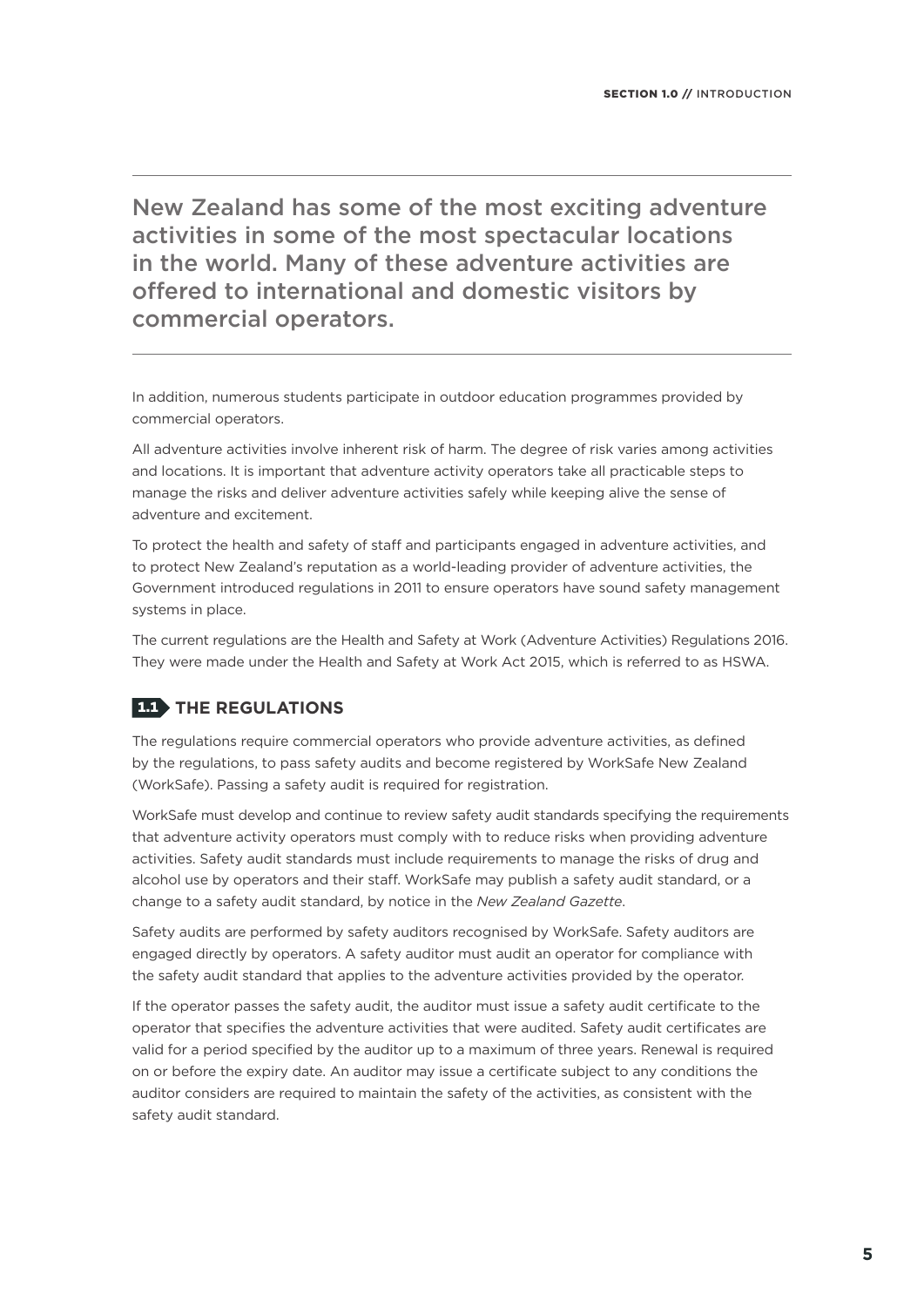New Zealand has some of the most exciting adventure activities in some of the most spectacular locations in the world. Many of these adventure activities are offered to international and domestic visitors by commercial operators.

In addition, numerous students participate in outdoor education programmes provided by commercial operators.

All adventure activities involve inherent risk of harm. The degree of risk varies among activities and locations. It is important that adventure activity operators take all practicable steps to manage the risks and deliver adventure activities safely while keeping alive the sense of adventure and excitement.

To protect the health and safety of staff and participants engaged in adventure activities, and to protect New Zealand's reputation as a world-leading provider of adventure activities, the Government introduced regulations in 2011 to ensure operators have sound safety management systems in place.

The current regulations are the Health and Safety at Work (Adventure Activities) Regulations 2016. They were made under the Health and Safety at Work Act 2015, which is referred to as HSWA.

#### **1.1.** THE REGULATIONS

The regulations require commercial operators who provide adventure activities, as defined by the regulations, to pass safety audits and become registered by WorkSafe New Zealand (WorkSafe). Passing a safety audit is required for registration.

WorkSafe must develop and continue to review safety audit standards specifying the requirements that adventure activity operators must comply with to reduce risks when providing adventure activities. Safety audit standards must include requirements to manage the risks of drug and alcohol use by operators and their staff. WorkSafe may publish a safety audit standard, or a change to a safety audit standard, by notice in the *New Zealand Gazette*.

Safety audits are performed by safety auditors recognised by WorkSafe. Safety auditors are engaged directly by operators. A safety auditor must audit an operator for compliance with the safety audit standard that applies to the adventure activities provided by the operator.

If the operator passes the safety audit, the auditor must issue a safety audit certificate to the operator that specifies the adventure activities that were audited. Safety audit certificates are valid for a period specified by the auditor up to a maximum of three years. Renewal is required on or before the expiry date. An auditor may issue a certificate subject to any conditions the auditor considers are required to maintain the safety of the activities, as consistent with the safety audit standard.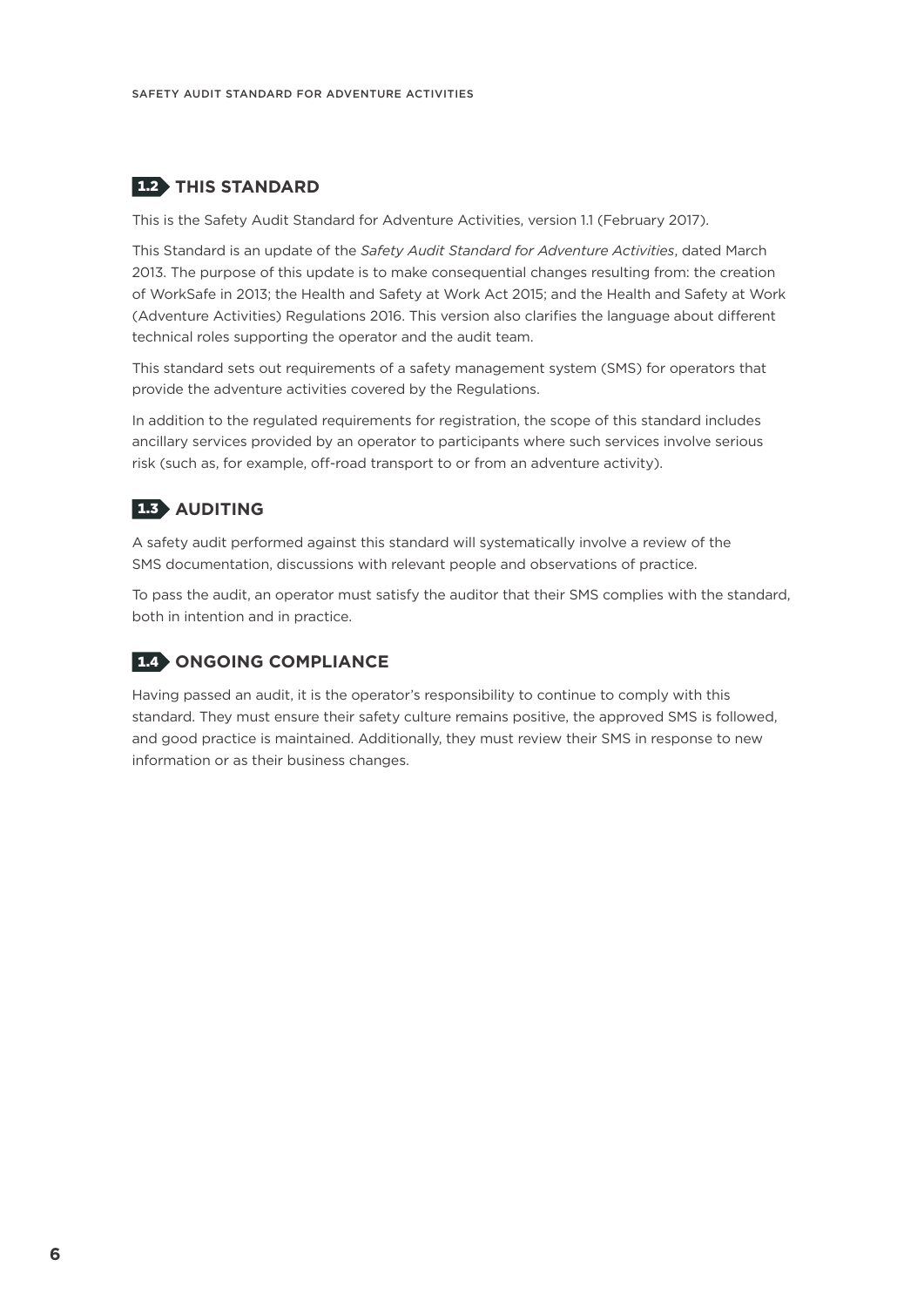#### 1.2 **THIS STANDARD**

This is the Safety Audit Standard for Adventure Activities, version 1.1 (February 2017).

This Standard is an update of the *Safety Audit Standard for Adventure Activities*, dated March 2013. The purpose of this update is to make consequential changes resulting from: the creation of WorkSafe in 2013; the Health and Safety at Work Act 2015; and the Health and Safety at Work (Adventure Activities) Regulations 2016. This version also clarifies the language about different technical roles supporting the operator and the audit team.

This standard sets out requirements of a safety management system (SMS) for operators that provide the adventure activities covered by the Regulations.

In addition to the regulated requirements for registration, the scope of this standard includes ancillary services provided by an operator to participants where such services involve serious risk (such as, for example, off-road transport to or from an adventure activity).

#### 1.3 **AUDITING**

A safety audit performed against this standard will systematically involve a review of the SMS documentation, discussions with relevant people and observations of practice.

To pass the audit, an operator must satisfy the auditor that their SMS complies with the standard, both in intention and in practice.

#### 1.4 **ONGOING COMPLIANCE**

Having passed an audit, it is the operator's responsibility to continue to comply with this standard. They must ensure their safety culture remains positive, the approved SMS is followed, and good practice is maintained. Additionally, they must review their SMS in response to new information or as their business changes.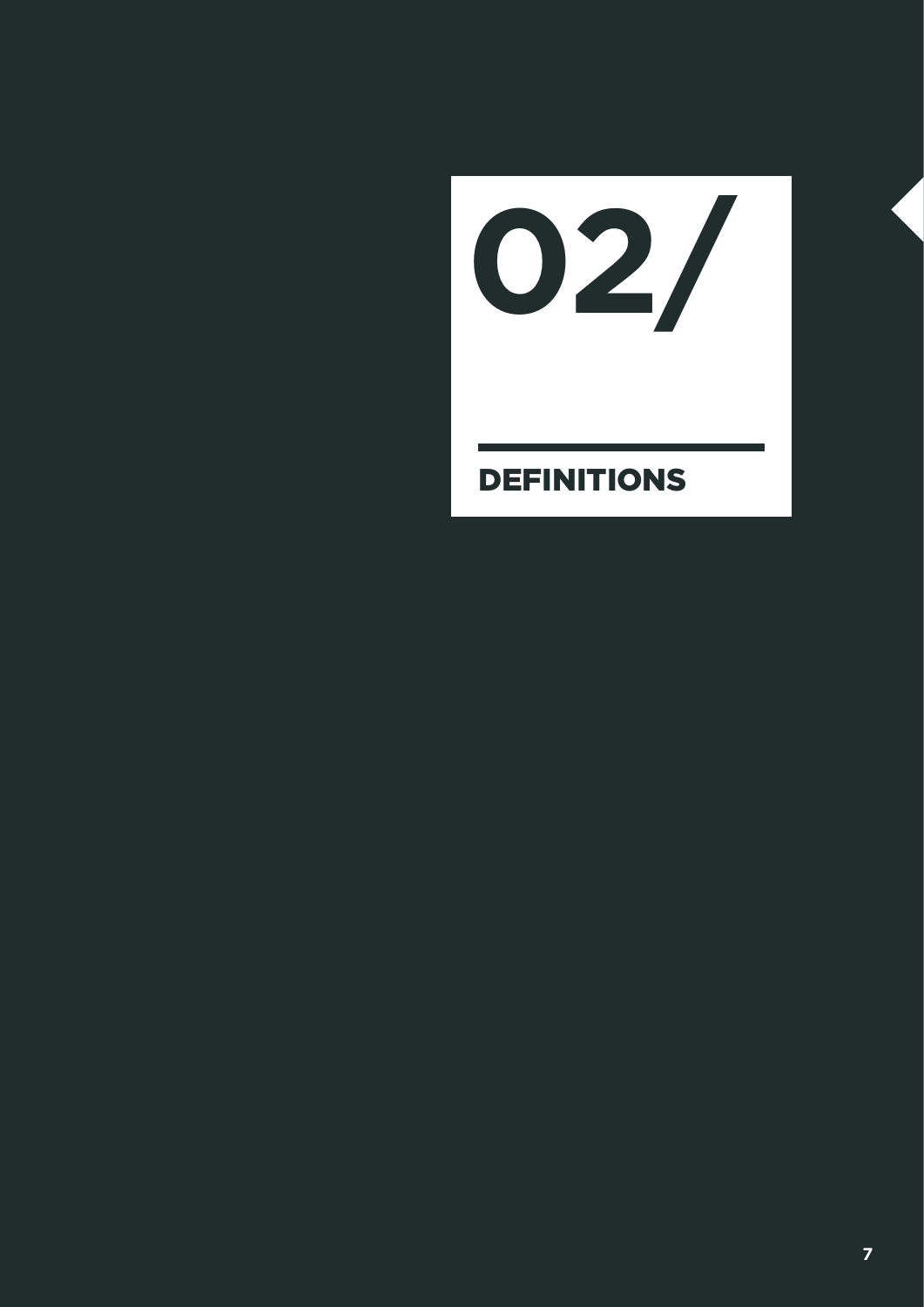**02/**

#### DEFINITIONS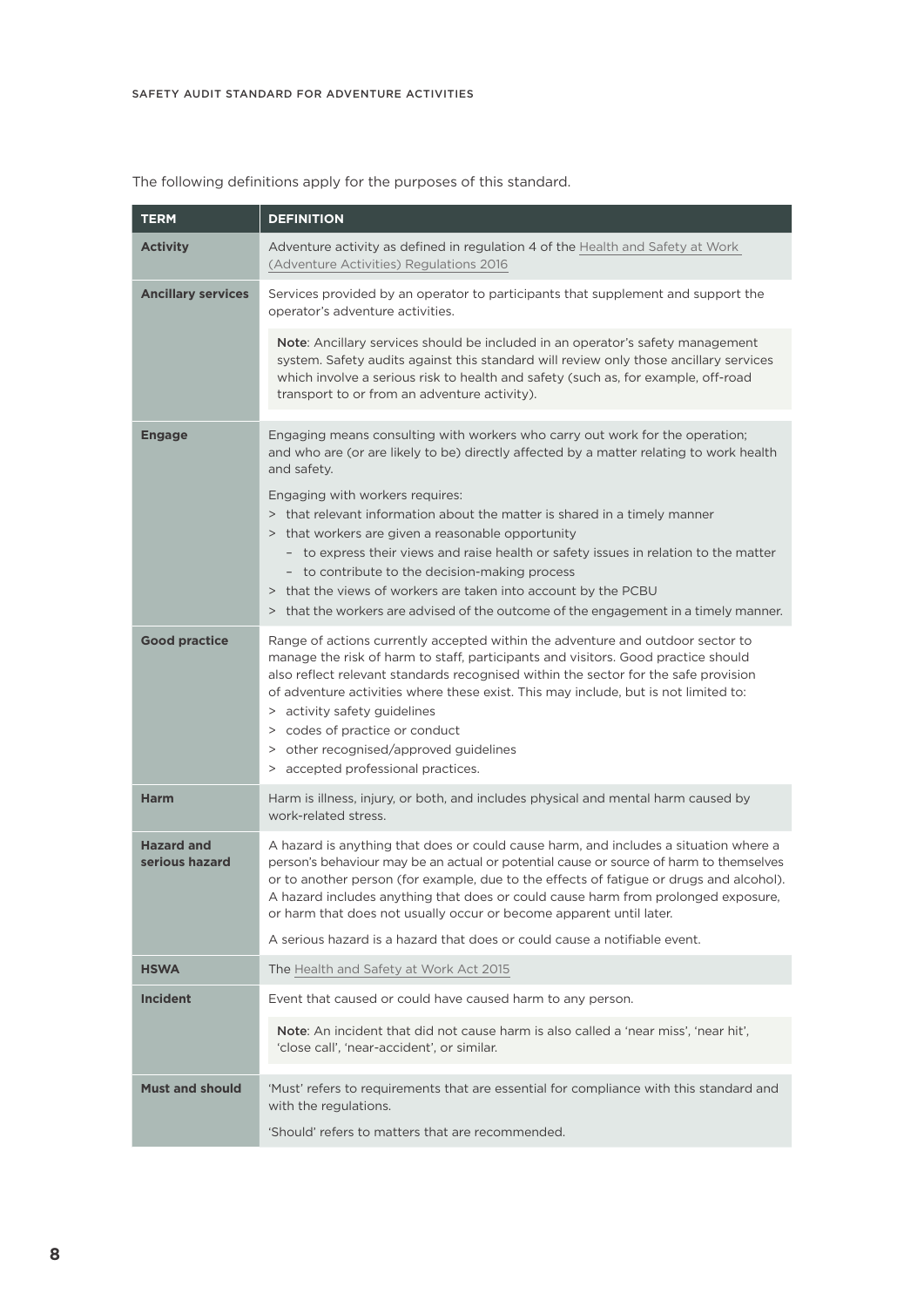| <b>TERM</b>                         | <b>DEFINITION</b>                                                                                                                                                                                                                                                                                                                                                                                                                                                                                                  |
|-------------------------------------|--------------------------------------------------------------------------------------------------------------------------------------------------------------------------------------------------------------------------------------------------------------------------------------------------------------------------------------------------------------------------------------------------------------------------------------------------------------------------------------------------------------------|
| <b>Activity</b>                     | Adventure activity as defined in regulation 4 of the Health and Safety at Work<br>(Adventure Activities) Regulations 2016                                                                                                                                                                                                                                                                                                                                                                                          |
| <b>Ancillary services</b>           | Services provided by an operator to participants that supplement and support the<br>operator's adventure activities.                                                                                                                                                                                                                                                                                                                                                                                               |
|                                     | Note: Ancillary services should be included in an operator's safety management<br>system. Safety audits against this standard will review only those ancillary services<br>which involve a serious risk to health and safety (such as, for example, off-road<br>transport to or from an adventure activity).                                                                                                                                                                                                       |
| <b>Engage</b>                       | Engaging means consulting with workers who carry out work for the operation;<br>and who are (or are likely to be) directly affected by a matter relating to work health<br>and safety.                                                                                                                                                                                                                                                                                                                             |
|                                     | Engaging with workers requires:<br>> that relevant information about the matter is shared in a timely manner<br>> that workers are given a reasonable opportunity<br>- to express their views and raise health or safety issues in relation to the matter<br>- to contribute to the decision-making process<br>> that the views of workers are taken into account by the PCBU<br>> that the workers are advised of the outcome of the engagement in a timely manner.                                               |
| <b>Good practice</b>                | Range of actions currently accepted within the adventure and outdoor sector to<br>manage the risk of harm to staff, participants and visitors. Good practice should<br>also reflect relevant standards recognised within the sector for the safe provision<br>of adventure activities where these exist. This may include, but is not limited to:<br>> activity safety guidelines<br>> codes of practice or conduct<br>> other recognised/approved guidelines<br>> accepted professional practices.                |
| <b>Harm</b>                         | Harm is illness, injury, or both, and includes physical and mental harm caused by<br>work-related stress.                                                                                                                                                                                                                                                                                                                                                                                                          |
| <b>Hazard and</b><br>serious hazard | A hazard is anything that does or could cause harm, and includes a situation where a<br>person's behaviour may be an actual or potential cause or source of harm to themselves<br>or to another person (for example, due to the effects of fatigue or drugs and alcohol).<br>A hazard includes anything that does or could cause harm from prolonged exposure,<br>or harm that does not usually occur or become apparent until later.<br>A serious hazard is a hazard that does or could cause a notifiable event. |
| <b>HSWA</b>                         | The Health and Safety at Work Act 2015                                                                                                                                                                                                                                                                                                                                                                                                                                                                             |
| <b>Incident</b>                     | Event that caused or could have caused harm to any person.                                                                                                                                                                                                                                                                                                                                                                                                                                                         |
|                                     | Note: An incident that did not cause harm is also called a 'near miss', 'near hit',<br>'close call', 'near-accident', or similar.                                                                                                                                                                                                                                                                                                                                                                                  |
| <b>Must and should</b>              | 'Must' refers to requirements that are essential for compliance with this standard and<br>with the regulations.<br>'Should' refers to matters that are recommended.                                                                                                                                                                                                                                                                                                                                                |
|                                     |                                                                                                                                                                                                                                                                                                                                                                                                                                                                                                                    |

The following definitions apply for the purposes of this standard.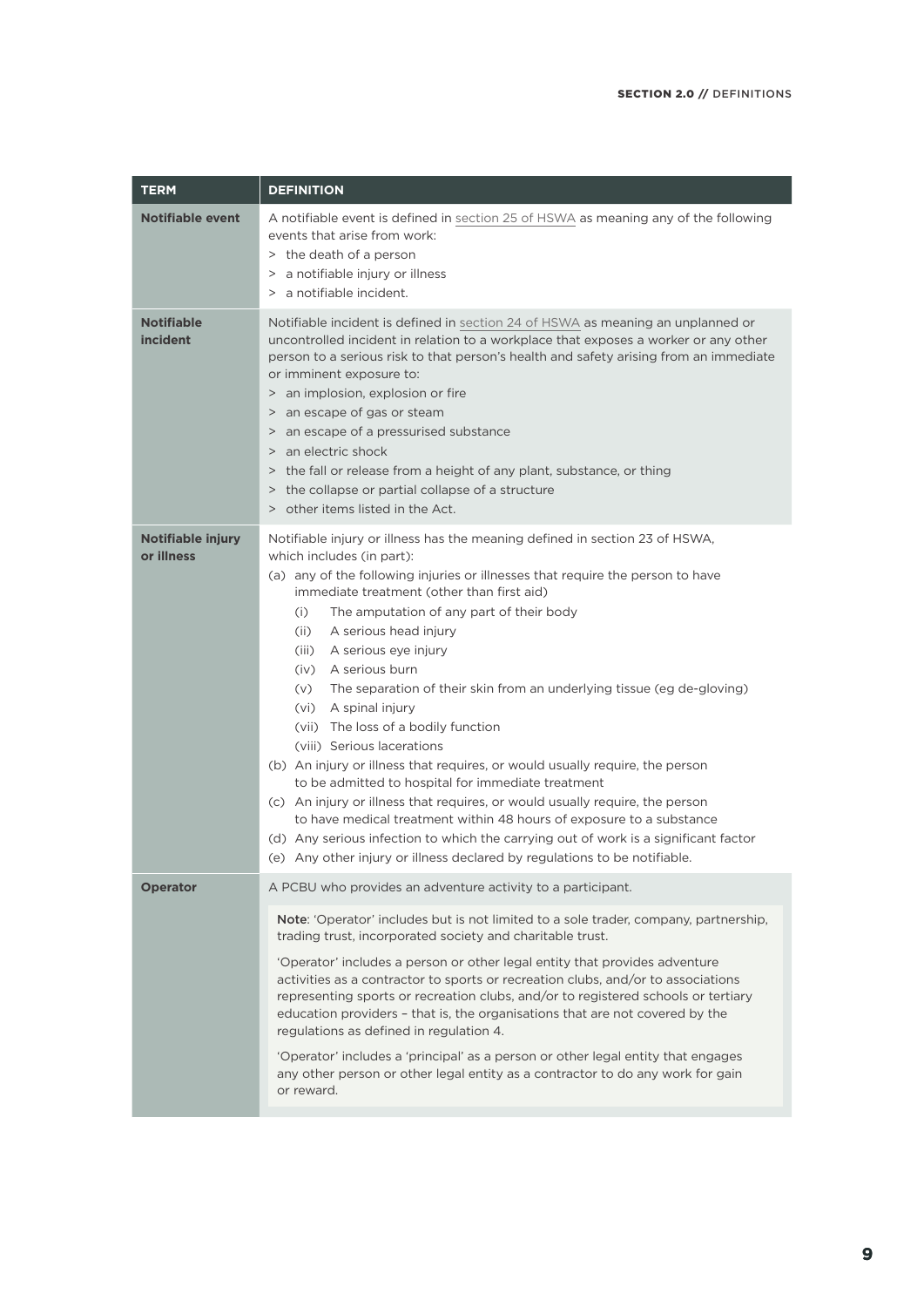| <b>TERM</b>                     | <b>DEFINITION</b>                                                                                                                                                                                                                                                                                                                                                                                                                                                                                                                                                                                                                                                                                                                                                                                                                                                                                                                                                                                                                     |
|---------------------------------|---------------------------------------------------------------------------------------------------------------------------------------------------------------------------------------------------------------------------------------------------------------------------------------------------------------------------------------------------------------------------------------------------------------------------------------------------------------------------------------------------------------------------------------------------------------------------------------------------------------------------------------------------------------------------------------------------------------------------------------------------------------------------------------------------------------------------------------------------------------------------------------------------------------------------------------------------------------------------------------------------------------------------------------|
| <b>Notifiable event</b>         | A notifiable event is defined in section 25 of HSWA as meaning any of the following<br>events that arise from work:<br>> the death of a person<br>> a notifiable injury or illness<br>> a notifiable incident.                                                                                                                                                                                                                                                                                                                                                                                                                                                                                                                                                                                                                                                                                                                                                                                                                        |
| <b>Notifiable</b><br>incident   | Notifiable incident is defined in section 24 of HSWA as meaning an unplanned or<br>uncontrolled incident in relation to a workplace that exposes a worker or any other<br>person to a serious risk to that person's health and safety arising from an immediate<br>or imminent exposure to:<br>> an implosion, explosion or fire<br>an escape of gas or steam<br>$\,>$<br>> an escape of a pressurised substance<br>> an electric shock<br>> the fall or release from a height of any plant, substance, or thing<br>> the collapse or partial collapse of a structure<br>> other items listed in the Act.                                                                                                                                                                                                                                                                                                                                                                                                                             |
| Notifiable injury<br>or illness | Notifiable injury or illness has the meaning defined in section 23 of HSWA,<br>which includes (in part):<br>(a) any of the following injuries or illnesses that require the person to have<br>immediate treatment (other than first aid)<br>(i)<br>The amputation of any part of their body<br>A serious head injury<br>(iii)<br>A serious eye injury<br>(iii)<br>(iv) A serious burn<br>The separation of their skin from an underlying tissue (eg de-gloving)<br>(v)<br>(vi) A spinal injury<br>(vii) The loss of a bodily function<br>(viii) Serious lacerations<br>(b) An injury or illness that requires, or would usually require, the person<br>to be admitted to hospital for immediate treatment<br>(c) An injury or illness that requires, or would usually require, the person<br>to have medical treatment within 48 hours of exposure to a substance<br>(d) Any serious infection to which the carrying out of work is a significant factor<br>(e) Any other injury or illness declared by regulations to be notifiable. |
| <b>Operator</b>                 | A PCBU who provides an adventure activity to a participant.<br>Note: 'Operator' includes but is not limited to a sole trader, company, partnership,<br>trading trust, incorporated society and charitable trust.<br>'Operator' includes a person or other legal entity that provides adventure<br>activities as a contractor to sports or recreation clubs, and/or to associations<br>representing sports or recreation clubs, and/or to registered schools or tertiary<br>education providers - that is, the organisations that are not covered by the<br>regulations as defined in regulation 4.<br>'Operator' includes a 'principal' as a person or other legal entity that engages<br>any other person or other legal entity as a contractor to do any work for gain<br>or reward.                                                                                                                                                                                                                                                |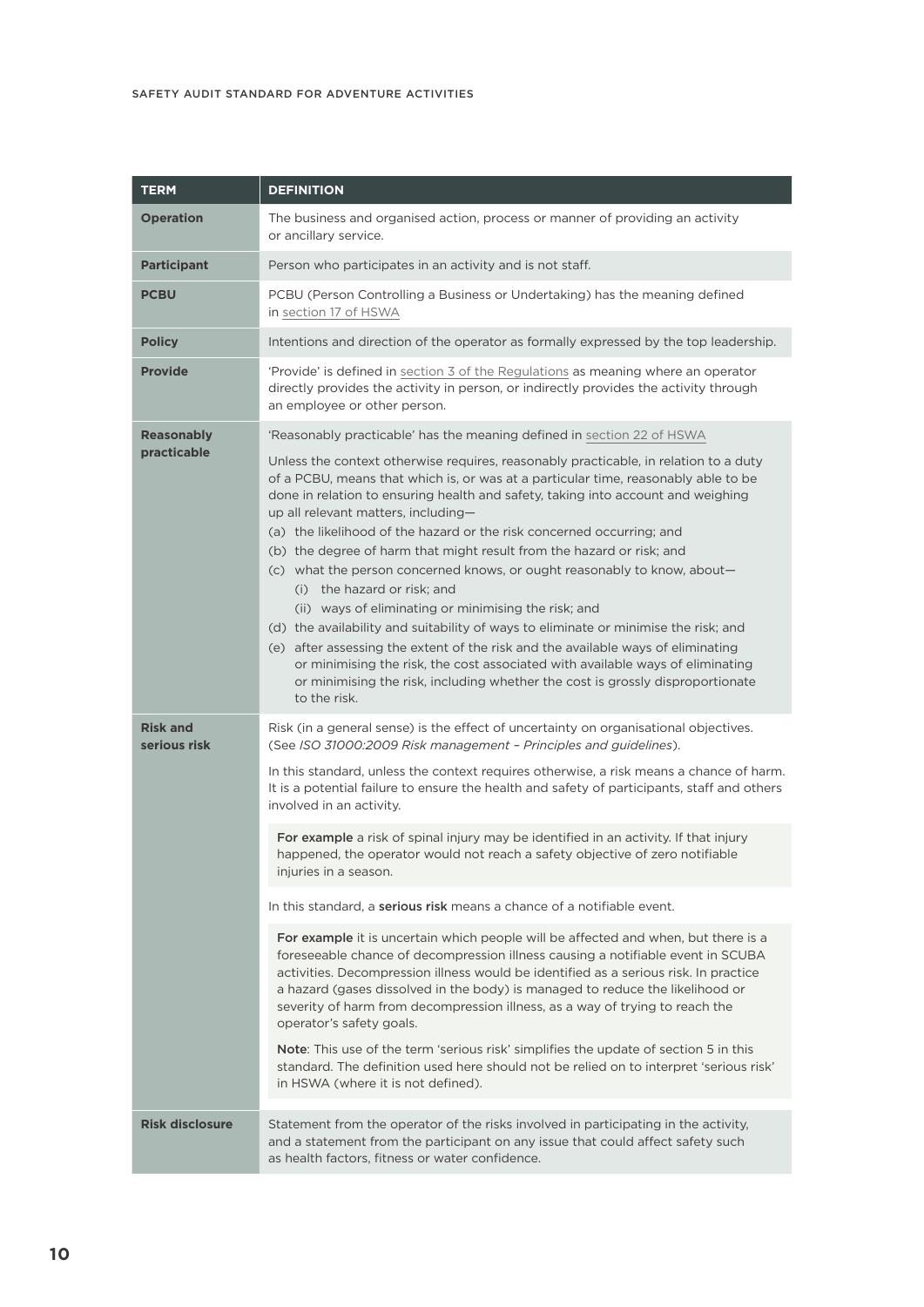| <b>TERM</b>                     | <b>DEFINITION</b>                                                                                                                                                                                                                                                                                                                                                                                                                                                                                                                                                                                                                                                                                                                                                                                                                                                                                                                                                                         |
|---------------------------------|-------------------------------------------------------------------------------------------------------------------------------------------------------------------------------------------------------------------------------------------------------------------------------------------------------------------------------------------------------------------------------------------------------------------------------------------------------------------------------------------------------------------------------------------------------------------------------------------------------------------------------------------------------------------------------------------------------------------------------------------------------------------------------------------------------------------------------------------------------------------------------------------------------------------------------------------------------------------------------------------|
| <b>Operation</b>                | The business and organised action, process or manner of providing an activity<br>or ancillary service.                                                                                                                                                                                                                                                                                                                                                                                                                                                                                                                                                                                                                                                                                                                                                                                                                                                                                    |
| <b>Participant</b>              | Person who participates in an activity and is not staff.                                                                                                                                                                                                                                                                                                                                                                                                                                                                                                                                                                                                                                                                                                                                                                                                                                                                                                                                  |
| <b>PCBU</b>                     | PCBU (Person Controlling a Business or Undertaking) has the meaning defined<br>in section 17 of HSWA                                                                                                                                                                                                                                                                                                                                                                                                                                                                                                                                                                                                                                                                                                                                                                                                                                                                                      |
| <b>Policy</b>                   | Intentions and direction of the operator as formally expressed by the top leadership.                                                                                                                                                                                                                                                                                                                                                                                                                                                                                                                                                                                                                                                                                                                                                                                                                                                                                                     |
| <b>Provide</b>                  | 'Provide' is defined in section 3 of the Regulations as meaning where an operator<br>directly provides the activity in person, or indirectly provides the activity through<br>an employee or other person.                                                                                                                                                                                                                                                                                                                                                                                                                                                                                                                                                                                                                                                                                                                                                                                |
| <b>Reasonably</b>               | 'Reasonably practicable' has the meaning defined in section 22 of HSWA                                                                                                                                                                                                                                                                                                                                                                                                                                                                                                                                                                                                                                                                                                                                                                                                                                                                                                                    |
| practicable                     | Unless the context otherwise requires, reasonably practicable, in relation to a duty<br>of a PCBU, means that which is, or was at a particular time, reasonably able to be<br>done in relation to ensuring health and safety, taking into account and weighing<br>up all relevant matters, including-<br>(a) the likelihood of the hazard or the risk concerned occurring; and<br>(b) the degree of harm that might result from the hazard or risk; and<br>(c) what the person concerned knows, or ought reasonably to know, about-<br>(i) the hazard or risk; and<br>(ii) ways of eliminating or minimising the risk; and<br>(d) the availability and suitability of ways to eliminate or minimise the risk; and<br>(e) after assessing the extent of the risk and the available ways of eliminating<br>or minimising the risk, the cost associated with available ways of eliminating<br>or minimising the risk, including whether the cost is grossly disproportionate<br>to the risk. |
| <b>Risk and</b><br>serious risk | Risk (in a general sense) is the effect of uncertainty on organisational objectives.<br>(See ISO 31000:2009 Risk management - Principles and guidelines).                                                                                                                                                                                                                                                                                                                                                                                                                                                                                                                                                                                                                                                                                                                                                                                                                                 |
|                                 | In this standard, unless the context requires otherwise, a risk means a chance of harm.<br>It is a potential failure to ensure the health and safety of participants, staff and others<br>involved in an activity.                                                                                                                                                                                                                                                                                                                                                                                                                                                                                                                                                                                                                                                                                                                                                                        |
|                                 | For example a risk of spinal injury may be identified in an activity. If that injury<br>happened, the operator would not reach a safety objective of zero notifiable<br>injuries in a season.                                                                                                                                                                                                                                                                                                                                                                                                                                                                                                                                                                                                                                                                                                                                                                                             |
|                                 | In this standard, a <b>serious risk</b> means a chance of a notifiable event.                                                                                                                                                                                                                                                                                                                                                                                                                                                                                                                                                                                                                                                                                                                                                                                                                                                                                                             |
|                                 | For example it is uncertain which people will be affected and when, but there is a<br>foreseeable chance of decompression illness causing a notifiable event in SCUBA<br>activities. Decompression illness would be identified as a serious risk. In practice<br>a hazard (gases dissolved in the body) is managed to reduce the likelihood or<br>severity of harm from decompression illness, as a way of trying to reach the<br>operator's safety goals.<br>Note: This use of the term 'serious risk' simplifies the update of section 5 in this<br>standard. The definition used here should not be relied on to interpret 'serious risk'<br>in HSWA (where it is not defined).                                                                                                                                                                                                                                                                                                        |
| <b>Risk disclosure</b>          | Statement from the operator of the risks involved in participating in the activity,<br>and a statement from the participant on any issue that could affect safety such<br>as health factors, fitness or water confidence.                                                                                                                                                                                                                                                                                                                                                                                                                                                                                                                                                                                                                                                                                                                                                                 |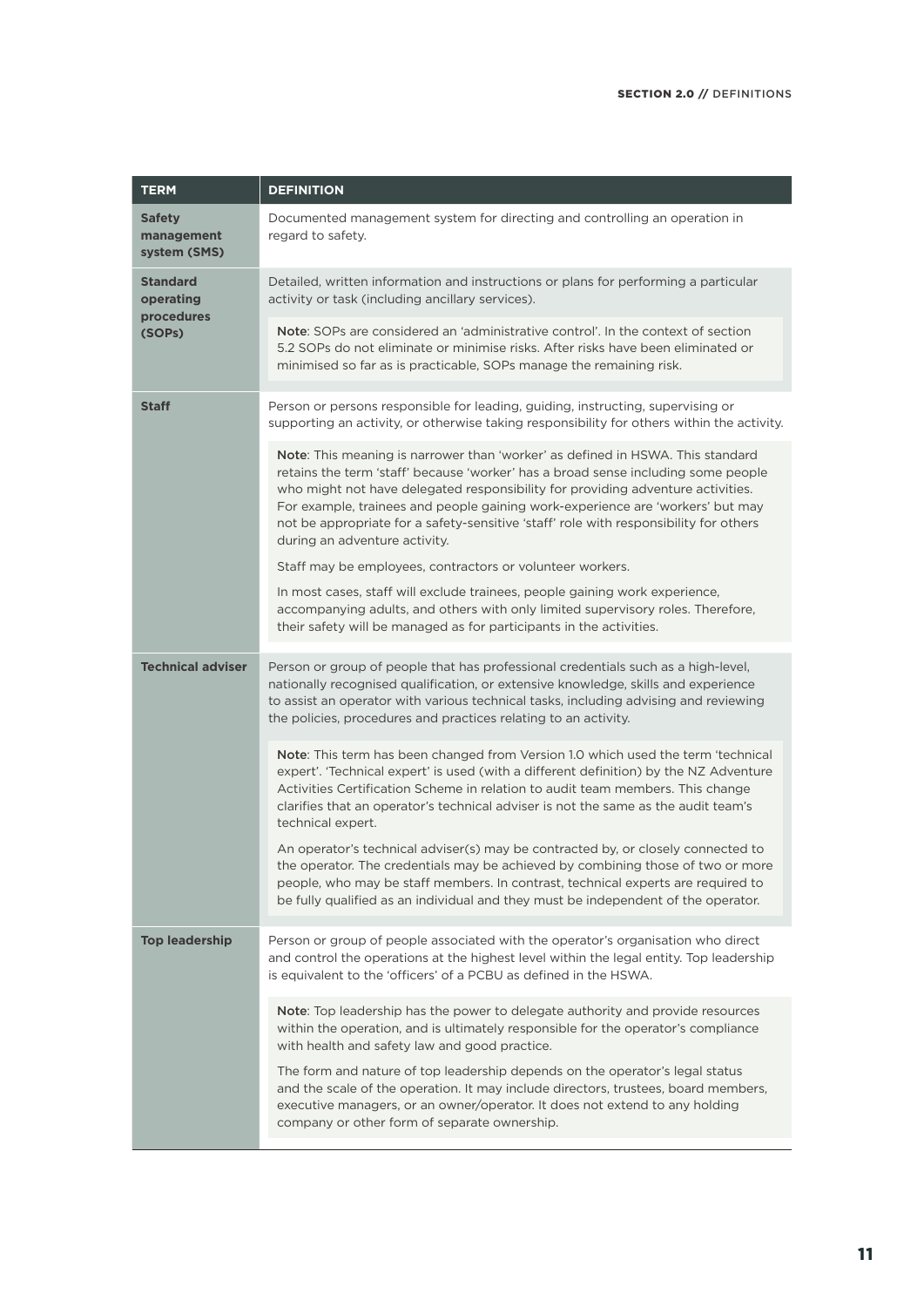| <b>TERM</b>                                 | <b>DEFINITION</b>                                                                                                                                                                                                                                                                                                                                                                                                                                                  |
|---------------------------------------------|--------------------------------------------------------------------------------------------------------------------------------------------------------------------------------------------------------------------------------------------------------------------------------------------------------------------------------------------------------------------------------------------------------------------------------------------------------------------|
| <b>Safety</b><br>management<br>system (SMS) | Documented management system for directing and controlling an operation in<br>regard to safety.                                                                                                                                                                                                                                                                                                                                                                    |
| <b>Standard</b><br>operating                | Detailed, written information and instructions or plans for performing a particular<br>activity or task (including ancillary services).                                                                                                                                                                                                                                                                                                                            |
| procedures<br>(SOPs)                        | <b>Note:</b> SOPs are considered an 'administrative control'. In the context of section<br>5.2 SOPs do not eliminate or minimise risks. After risks have been eliminated or<br>minimised so far as is practicable, SOPs manage the remaining risk.                                                                                                                                                                                                                 |
| <b>Staff</b>                                | Person or persons responsible for leading, guiding, instructing, supervising or<br>supporting an activity, or otherwise taking responsibility for others within the activity.                                                                                                                                                                                                                                                                                      |
|                                             | Note: This meaning is narrower than 'worker' as defined in HSWA. This standard<br>retains the term 'staff' because 'worker' has a broad sense including some people<br>who might not have delegated responsibility for providing adventure activities.<br>For example, trainees and people gaining work-experience are 'workers' but may<br>not be appropriate for a safety-sensitive 'staff' role with responsibility for others<br>during an adventure activity. |
|                                             | Staff may be employees, contractors or volunteer workers.                                                                                                                                                                                                                                                                                                                                                                                                          |
|                                             | In most cases, staff will exclude trainees, people gaining work experience,<br>accompanying adults, and others with only limited supervisory roles. Therefore,<br>their safety will be managed as for participants in the activities.                                                                                                                                                                                                                              |
| <b>Technical adviser</b>                    | Person or group of people that has professional credentials such as a high-level,<br>nationally recognised qualification, or extensive knowledge, skills and experience<br>to assist an operator with various technical tasks, including advising and reviewing<br>the policies, procedures and practices relating to an activity.                                                                                                                                 |
|                                             | Note: This term has been changed from Version 1.0 which used the term 'technical<br>expert'. 'Technical expert' is used (with a different definition) by the NZ Adventure<br>Activities Certification Scheme in relation to audit team members. This change<br>clarifies that an operator's technical adviser is not the same as the audit team's<br>technical expert.                                                                                             |
|                                             | An operator's technical adviser(s) may be contracted by, or closely connected to<br>the operator. The credentials may be achieved by combining those of two or more<br>people, who may be staff members. In contrast, technical experts are required to<br>be fully qualified as an individual and they must be independent of the operator.                                                                                                                       |
| <b>Top leadership</b>                       | Person or group of people associated with the operator's organisation who direct<br>and control the operations at the highest level within the legal entity. Top leadership<br>is equivalent to the 'officers' of a PCBU as defined in the HSWA.                                                                                                                                                                                                                   |
|                                             | Note: Top leadership has the power to delegate authority and provide resources<br>within the operation, and is ultimately responsible for the operator's compliance<br>with health and safety law and good practice.                                                                                                                                                                                                                                               |
|                                             | The form and nature of top leadership depends on the operator's legal status<br>and the scale of the operation. It may include directors, trustees, board members,<br>executive managers, or an owner/operator. It does not extend to any holding<br>company or other form of separate ownership.                                                                                                                                                                  |
|                                             |                                                                                                                                                                                                                                                                                                                                                                                                                                                                    |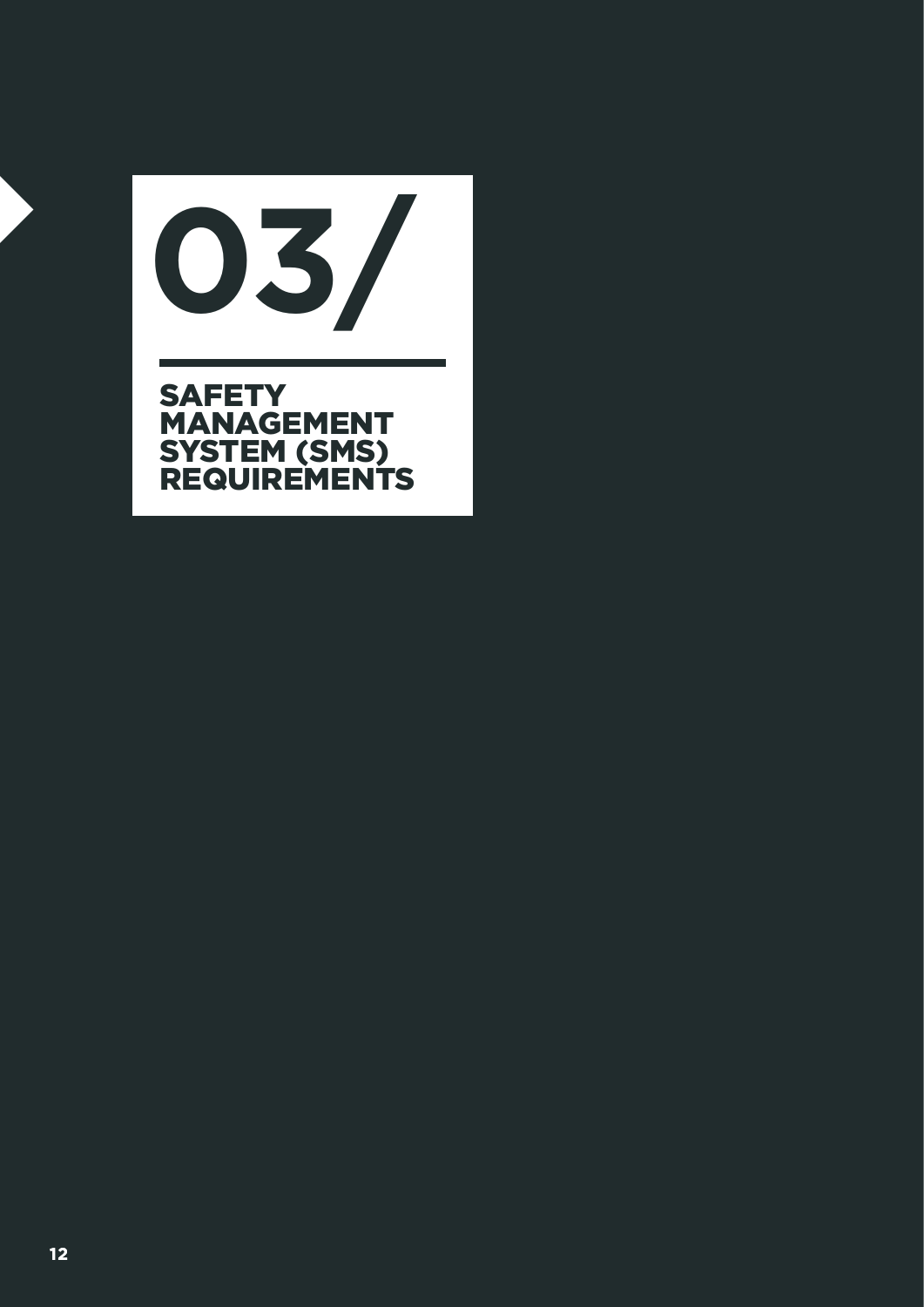REQUIREMENTS **01/ 03/ SAFETY** MANAGEMENT SYSTEM (SMS) REQUIREMENTS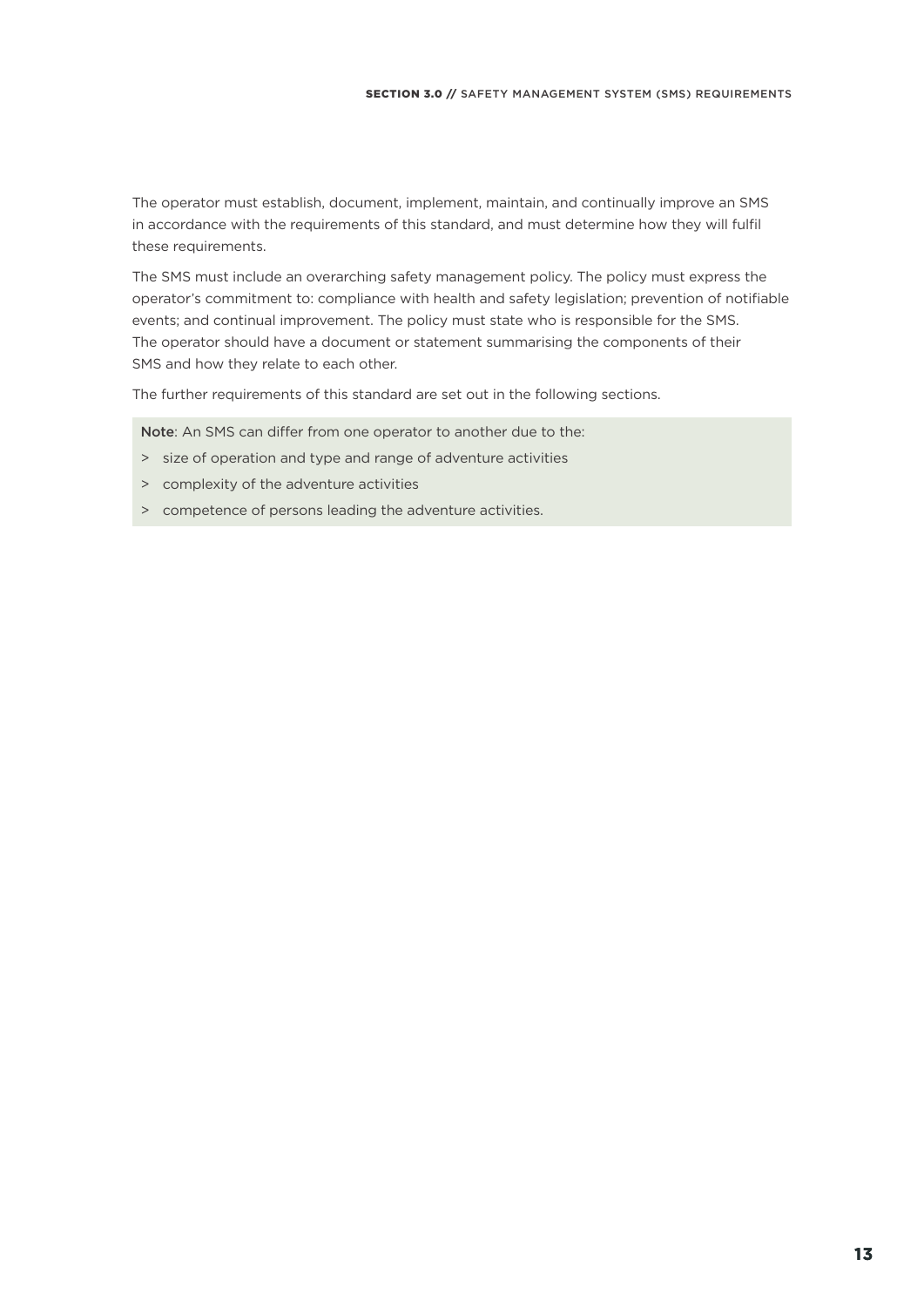The operator must establish, document, implement, maintain, and continually improve an SMS in accordance with the requirements of this standard, and must determine how they will fulfil these requirements.

The SMS must include an overarching safety management policy. The policy must express the operator's commitment to: compliance with health and safety legislation; prevention of notifiable events; and continual improvement. The policy must state who is responsible for the SMS. The operator should have a document or statement summarising the components of their SMS and how they relate to each other.

The further requirements of this standard are set out in the following sections.

Note: An SMS can differ from one operator to another due to the:

- > size of operation and type and range of adventure activities
- > complexity of the adventure activities
- > competence of persons leading the adventure activities.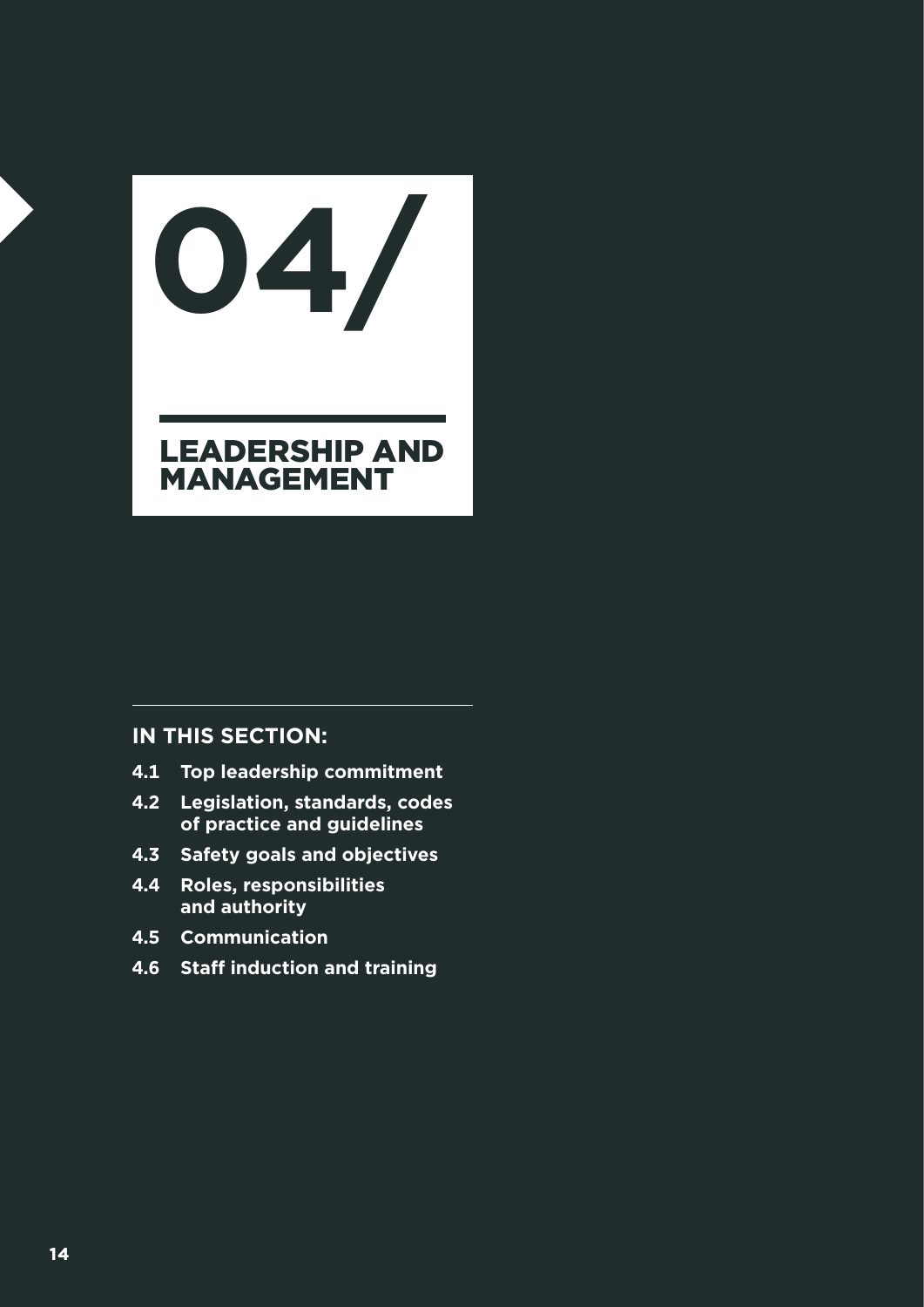LEADERSHIP AND MANAGEMENT **04/**

- **4.1 Top leadership commitment**
- **4.2 Legislation, standards, codes of practice and guidelines**
- **4.3 Safety goals and objectives**
- **4.4 Roles, responsibilities and authority**
- **4.5 Communication**
- **4.6 Staff induction and training**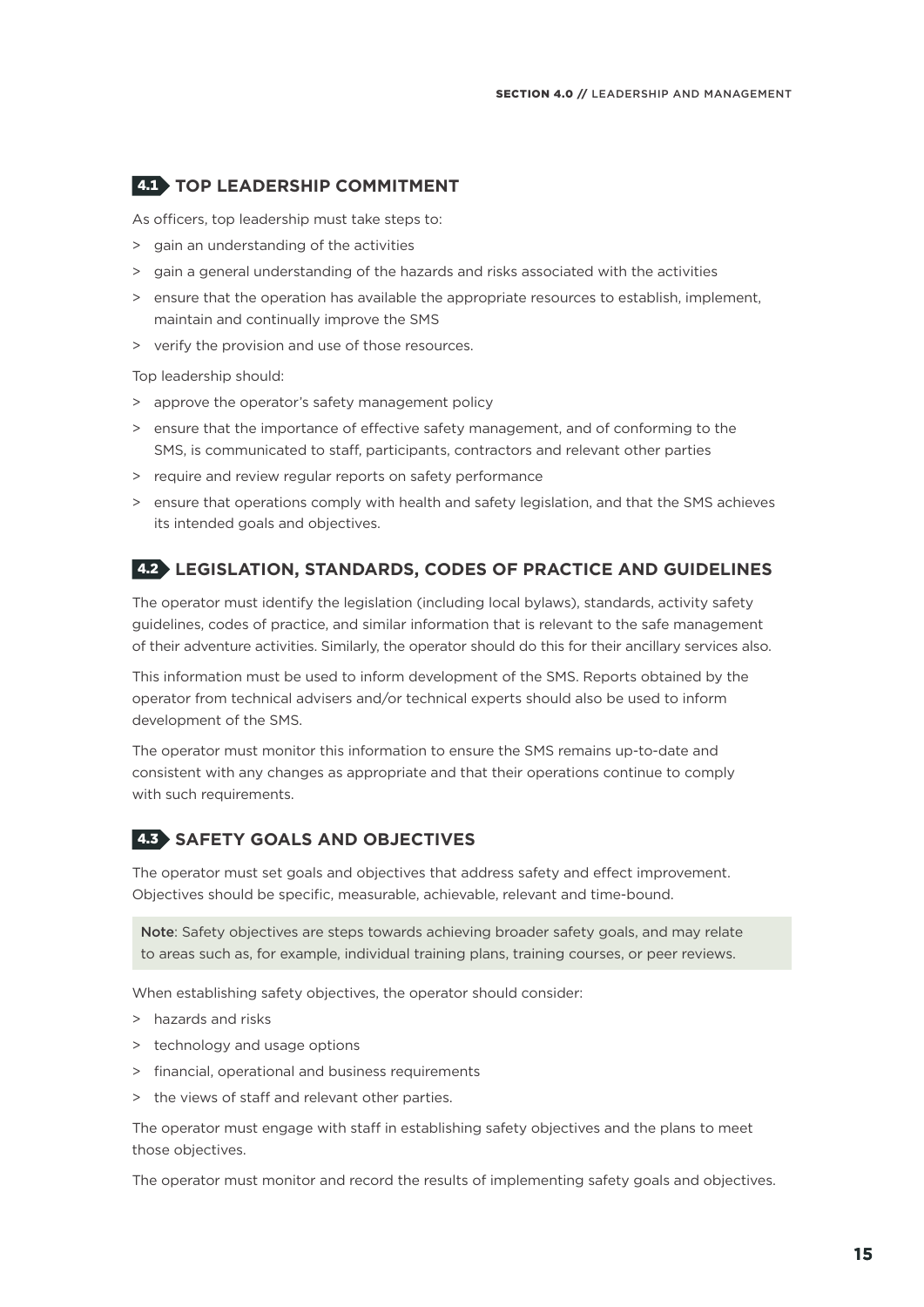#### 4.1 **TOP LEADERSHIP COMMITMENT**

As officers, top leadership must take steps to:

- > gain an understanding of the activities
- > gain a general understanding of the hazards and risks associated with the activities
- > ensure that the operation has available the appropriate resources to establish, implement, maintain and continually improve the SMS
- > verify the provision and use of those resources.

Top leadership should:

- > approve the operator's safety management policy
- > ensure that the importance of effective safety management, and of conforming to the SMS, is communicated to staff, participants, contractors and relevant other parties
- > require and review regular reports on safety performance
- > ensure that operations comply with health and safety legislation, and that the SMS achieves its intended goals and objectives.

#### 4.2 **LEGISLATION, STANDARDS, CODES OF PRACTICE AND GUIDELINES**

The operator must identify the legislation (including local bylaws), standards, activity safety guidelines, codes of practice, and similar information that is relevant to the safe management of their adventure activities. Similarly, the operator should do this for their ancillary services also.

This information must be used to inform development of the SMS. Reports obtained by the operator from technical advisers and/or technical experts should also be used to inform development of the SMS.

The operator must monitor this information to ensure the SMS remains up-to-date and consistent with any changes as appropriate and that their operations continue to comply with such requirements.

#### 4.3 **SAFETY GOALS AND OBJECTIVES**

The operator must set goals and objectives that address safety and effect improvement. Objectives should be specific, measurable, achievable, relevant and time-bound.

Note: Safety objectives are steps towards achieving broader safety goals, and may relate to areas such as, for example, individual training plans, training courses, or peer reviews.

When establishing safety objectives, the operator should consider:

- > hazards and risks
- > technology and usage options
- > financial, operational and business requirements
- the views of staff and relevant other parties.

The operator must engage with staff in establishing safety objectives and the plans to meet those objectives.

The operator must monitor and record the results of implementing safety goals and objectives.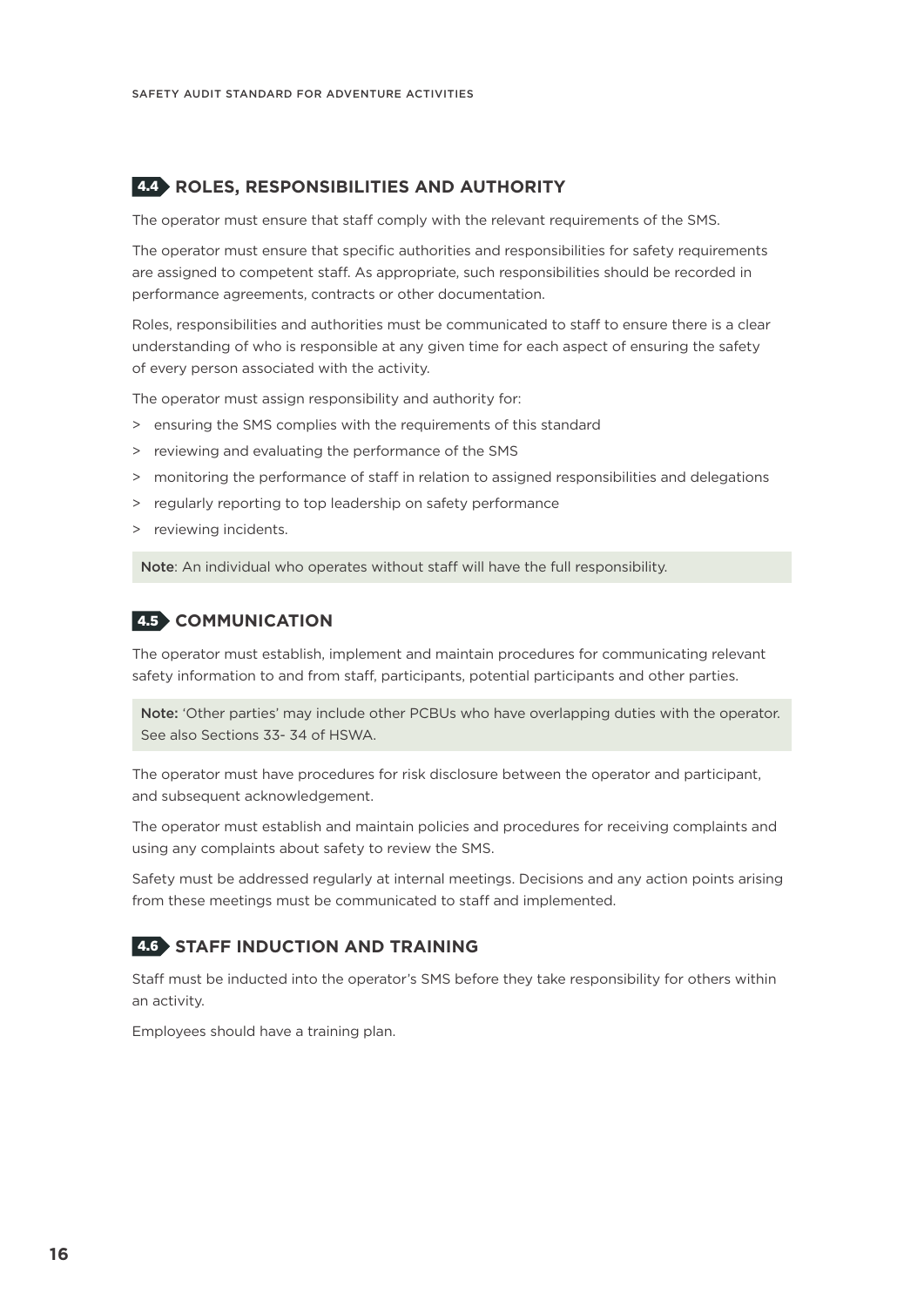#### 4.4 **ROLES, RESPONSIBILITIES AND AUTHORITY**

The operator must ensure that staff comply with the relevant requirements of the SMS.

The operator must ensure that specific authorities and responsibilities for safety requirements are assigned to competent staff. As appropriate, such responsibilities should be recorded in performance agreements, contracts or other documentation.

Roles, responsibilities and authorities must be communicated to staff to ensure there is a clear understanding of who is responsible at any given time for each aspect of ensuring the safety of every person associated with the activity.

The operator must assign responsibility and authority for:

- > ensuring the SMS complies with the requirements of this standard
- > reviewing and evaluating the performance of the SMS
- > monitoring the performance of staff in relation to assigned responsibilities and delegations
- > regularly reporting to top leadership on safety performance
- > reviewing incidents.

Note: An individual who operates without staff will have the full responsibility.

#### 4.5 **COMMUNICATION**

The operator must establish, implement and maintain procedures for communicating relevant safety information to and from staff, participants, potential participants and other parties.

Note: 'Other parties' may include other PCBUs who have overlapping duties with the operator. See also Sections 33- 34 of HSWA.

The operator must have procedures for risk disclosure between the operator and participant, and subsequent acknowledgement.

The operator must establish and maintain policies and procedures for receiving complaints and using any complaints about safety to review the SMS.

Safety must be addressed regularly at internal meetings. Decisions and any action points arising from these meetings must be communicated to staff and implemented.

#### 4.6 **STAFF INDUCTION AND TRAINING**

Staff must be inducted into the operator's SMS before they take responsibility for others within an activity.

Employees should have a training plan.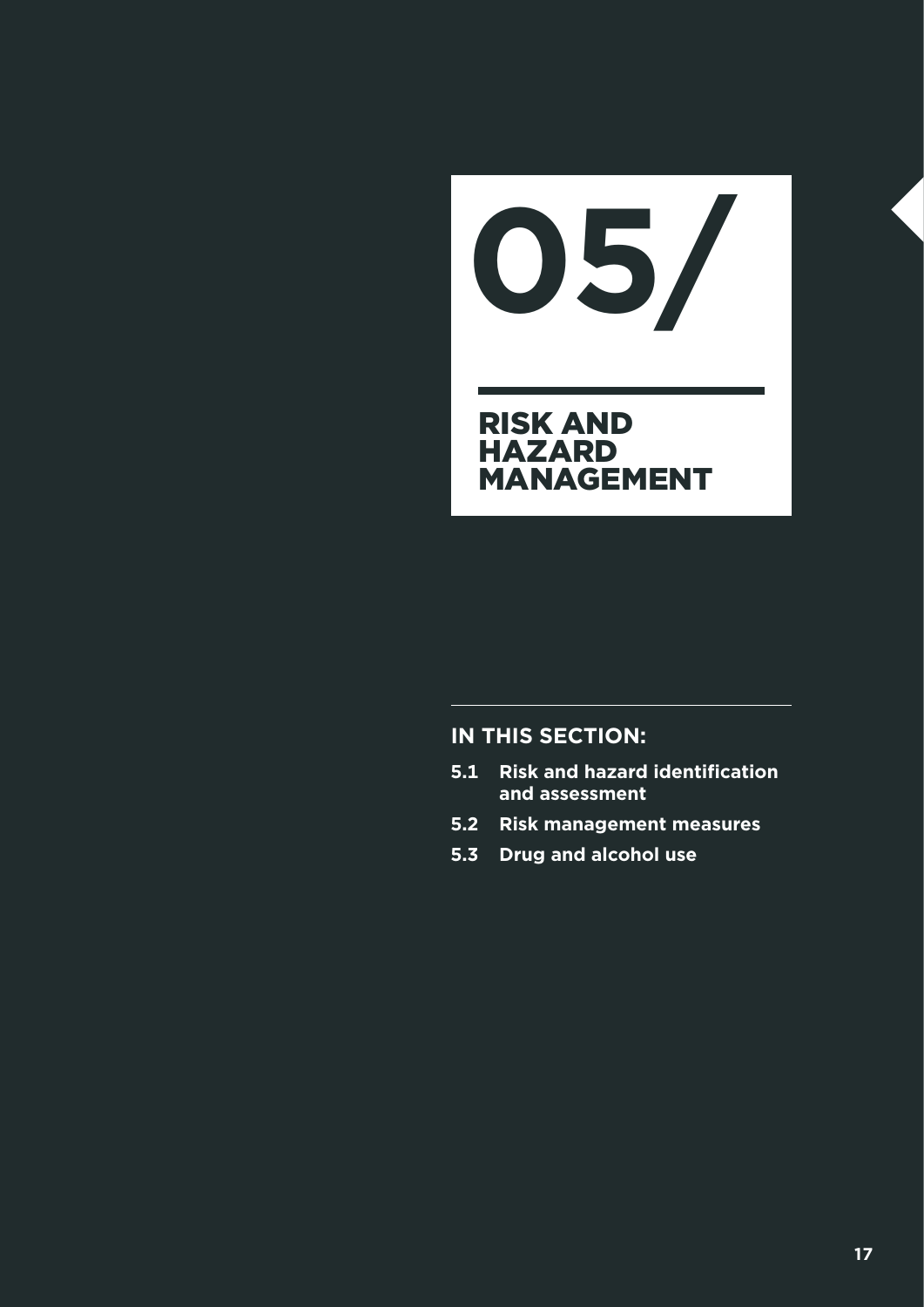**05/**

#### RISK AND **HAZARD MANAGEMENT**

- **5.1 Risk and hazard identification and assessment**
- **5.2 Risk management measures**
- **5.3 Drug and alcohol use**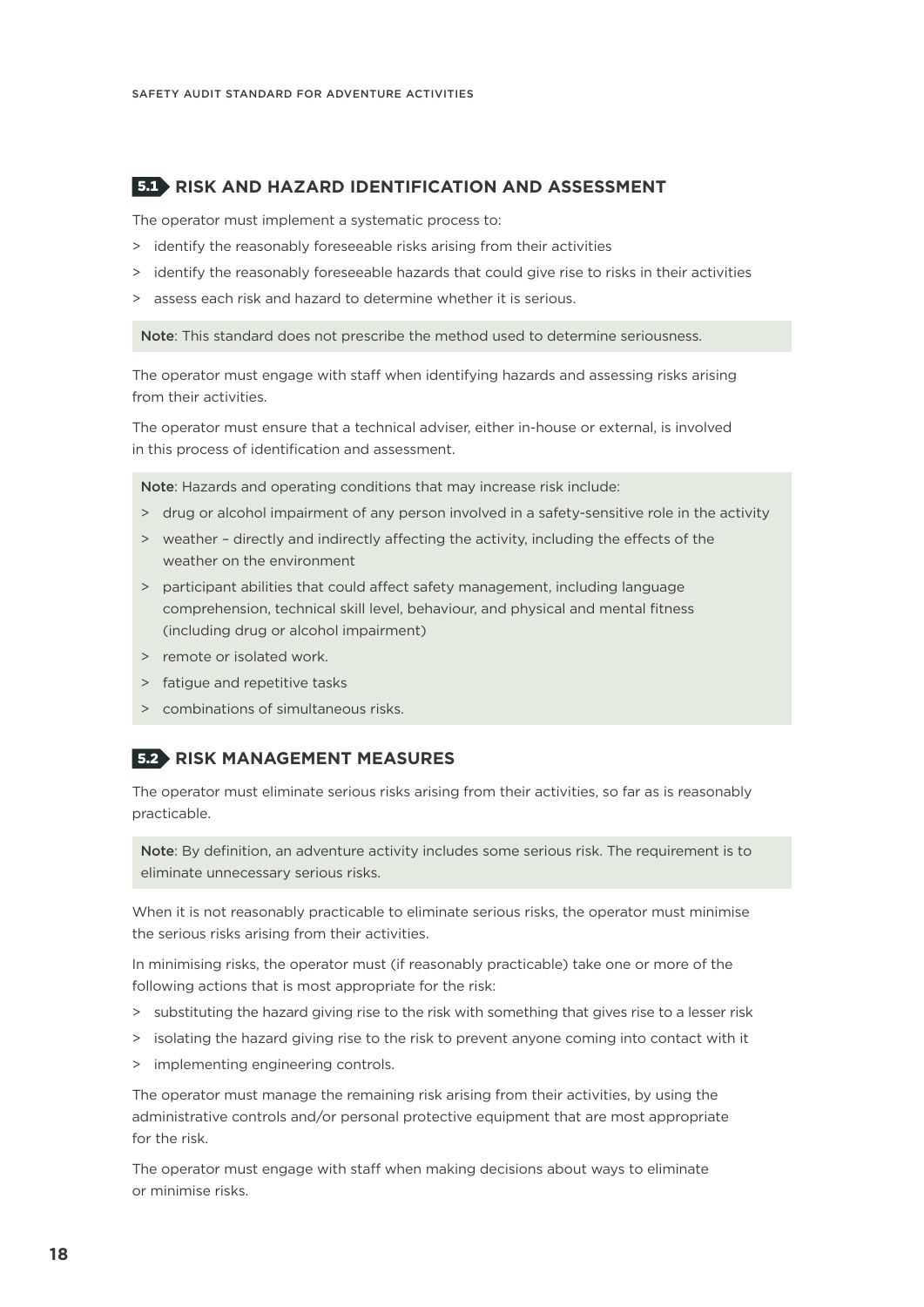#### 5.1 **RISK AND HAZARD IDENTIFICATION AND ASSESSMENT**

The operator must implement a systematic process to:

- > identify the reasonably foreseeable risks arising from their activities
- > identify the reasonably foreseeable hazards that could give rise to risks in their activities
- > assess each risk and hazard to determine whether it is serious.

Note: This standard does not prescribe the method used to determine seriousness.

The operator must engage with staff when identifying hazards and assessing risks arising from their activities.

The operator must ensure that a technical adviser, either in-house or external, is involved in this process of identification and assessment.

Note: Hazards and operating conditions that may increase risk include:

- > drug or alcohol impairment of any person involved in a safety-sensitive role in the activity
- > weather directly and indirectly affecting the activity, including the effects of the weather on the environment
- > participant abilities that could affect safety management, including language comprehension, technical skill level, behaviour, and physical and mental fitness (including drug or alcohol impairment)
- > remote or isolated work.
- > fatigue and repetitive tasks
- > combinations of simultaneous risks.

#### 5.2 **RISK MANAGEMENT MEASURES**

The operator must eliminate serious risks arising from their activities, so far as is reasonably practicable.

Note: By definition, an adventure activity includes some serious risk. The requirement is to eliminate unnecessary serious risks.

When it is not reasonably practicable to eliminate serious risks, the operator must minimise the serious risks arising from their activities.

In minimising risks, the operator must (if reasonably practicable) take one or more of the following actions that is most appropriate for the risk:

- > substituting the hazard giving rise to the risk with something that gives rise to a lesser risk
- > isolating the hazard giving rise to the risk to prevent anyone coming into contact with it
- > implementing engineering controls.

The operator must manage the remaining risk arising from their activities, by using the administrative controls and/or personal protective equipment that are most appropriate for the risk.

The operator must engage with staff when making decisions about ways to eliminate or minimise risks.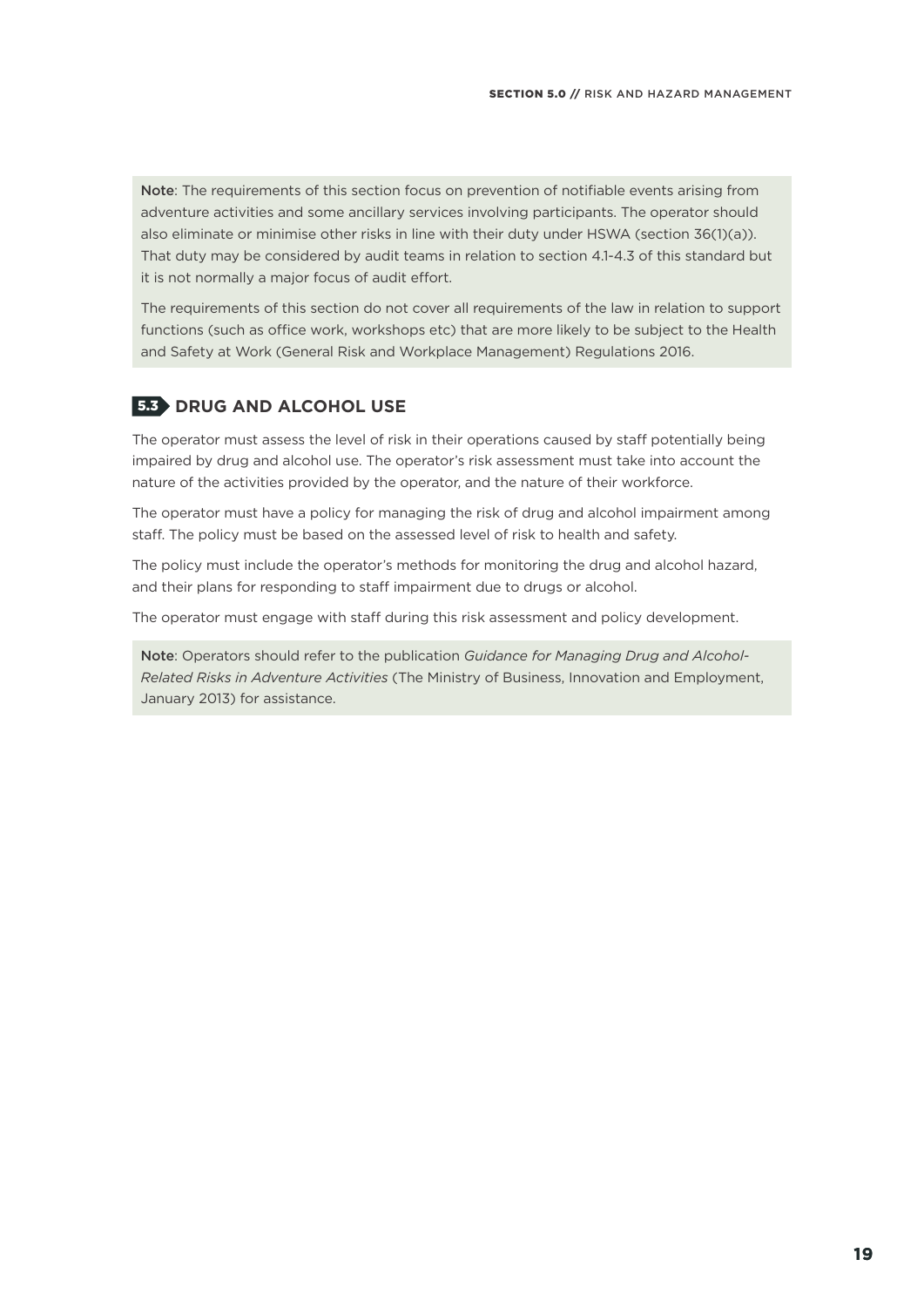Note: The requirements of this section focus on prevention of notifiable events arising from adventure activities and some ancillary services involving participants. The operator should also eliminate or minimise other risks in line with their duty under HSWA (section 36(1)(a)). That duty may be considered by audit teams in relation to section 4.1-4.3 of this standard but it is not normally a major focus of audit effort.

The requirements of this section do not cover all requirements of the law in relation to support functions (such as office work, workshops etc) that are more likely to be subject to the Health and Safety at Work (General Risk and Workplace Management) Regulations 2016.

#### 5.3 **DRUG AND ALCOHOL USE**

The operator must assess the level of risk in their operations caused by staff potentially being impaired by drug and alcohol use. The operator's risk assessment must take into account the nature of the activities provided by the operator, and the nature of their workforce.

The operator must have a policy for managing the risk of drug and alcohol impairment among staff. The policy must be based on the assessed level of risk to health and safety.

The policy must include the operator's methods for monitoring the drug and alcohol hazard, and their plans for responding to staff impairment due to drugs or alcohol.

The operator must engage with staff during this risk assessment and policy development.

Note: Operators should refer to the publication *Guidance for Managing Drug and Alcohol-Related Risks in Adventure Activities* (The Ministry of Business, Innovation and Employment, January 2013) for assistance.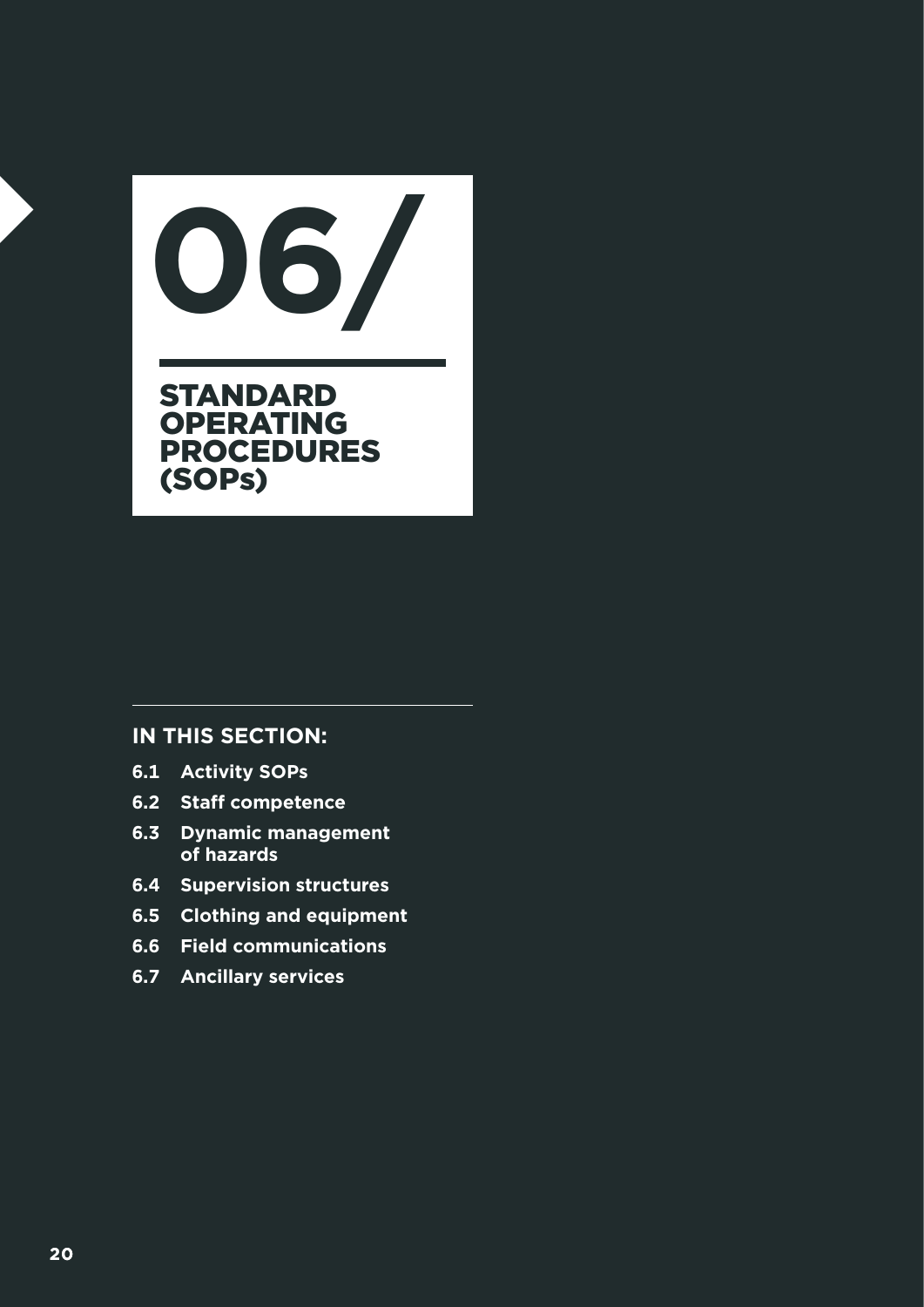STANDARD **OPERATING** PROCEDURES (SOPs) **06/**

- **6.1 Activity SOPs**
- **6.2 Staff competence**
- **6.3 Dynamic management of hazards**
- **6.4 Supervision structures**
- **6.5 Clothing and equipment**
- **6.6 Field communications**
- **6.7 Ancillary services**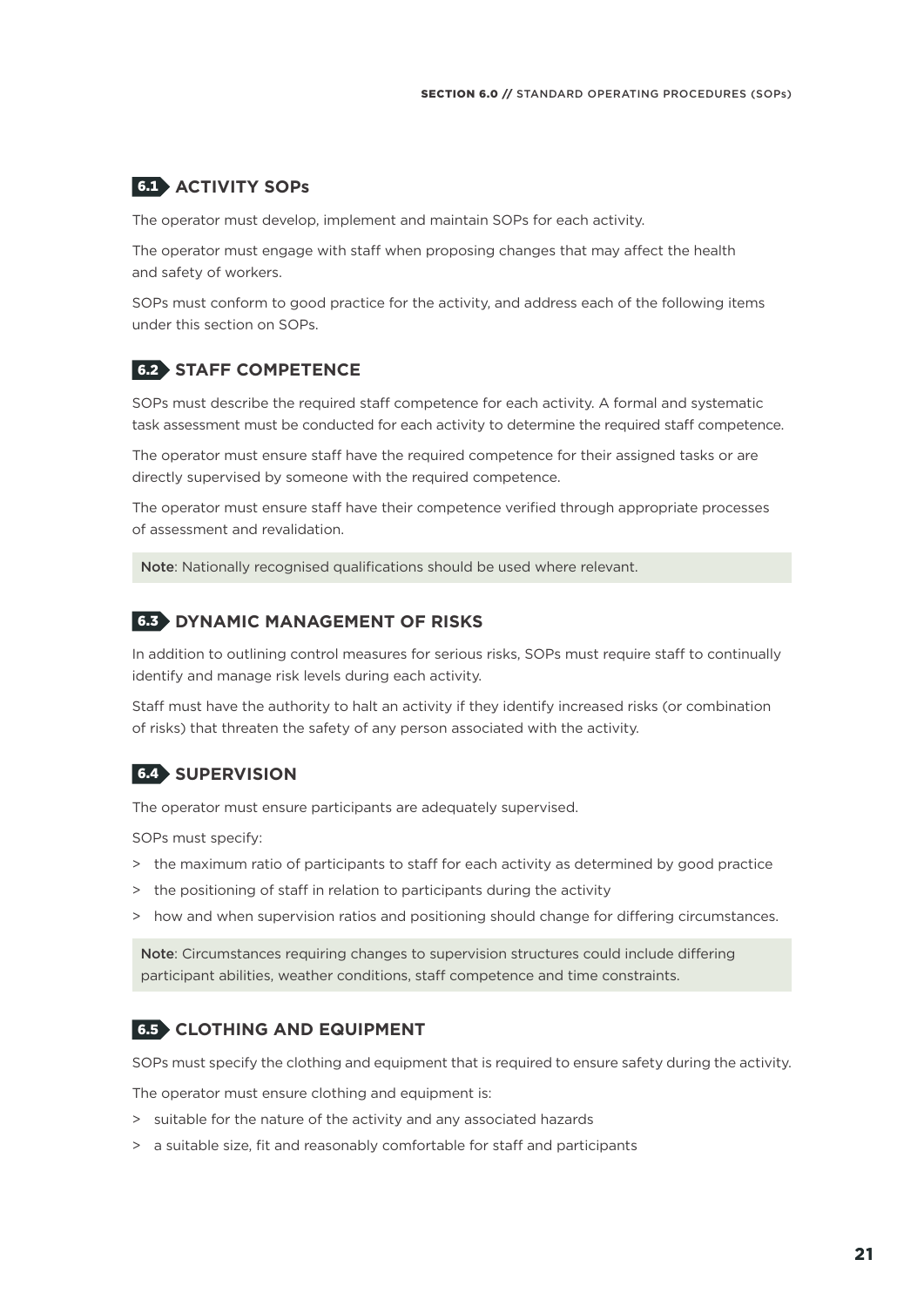#### 6.1 **ACTIVITY SOPs**

The operator must develop, implement and maintain SOPs for each activity.

The operator must engage with staff when proposing changes that may affect the health and safety of workers.

SOPs must conform to good practice for the activity, and address each of the following items under this section on SOPs.

#### 6.2 **STAFF COMPETENCE**

SOPs must describe the required staff competence for each activity. A formal and systematic task assessment must be conducted for each activity to determine the required staff competence.

The operator must ensure staff have the required competence for their assigned tasks or are directly supervised by someone with the required competence.

The operator must ensure staff have their competence verified through appropriate processes of assessment and revalidation.

Note: Nationally recognised qualifications should be used where relevant.

#### 6.3 **DYNAMIC MANAGEMENT OF RISKS**

In addition to outlining control measures for serious risks, SOPs must require staff to continually identify and manage risk levels during each activity.

Staff must have the authority to halt an activity if they identify increased risks (or combination of risks) that threaten the safety of any person associated with the activity.

#### 6.4 **SUPERVISION**

The operator must ensure participants are adequately supervised.

SOPs must specify:

- > the maximum ratio of participants to staff for each activity as determined by good practice
- > the positioning of staff in relation to participants during the activity
- > how and when supervision ratios and positioning should change for differing circumstances.

Note: Circumstances requiring changes to supervision structures could include differing participant abilities, weather conditions, staff competence and time constraints.

#### 6.5 **CLOTHING AND EQUIPMENT**

SOPs must specify the clothing and equipment that is required to ensure safety during the activity.

The operator must ensure clothing and equipment is:

- > suitable for the nature of the activity and any associated hazards
- > a suitable size, fit and reasonably comfortable for staff and participants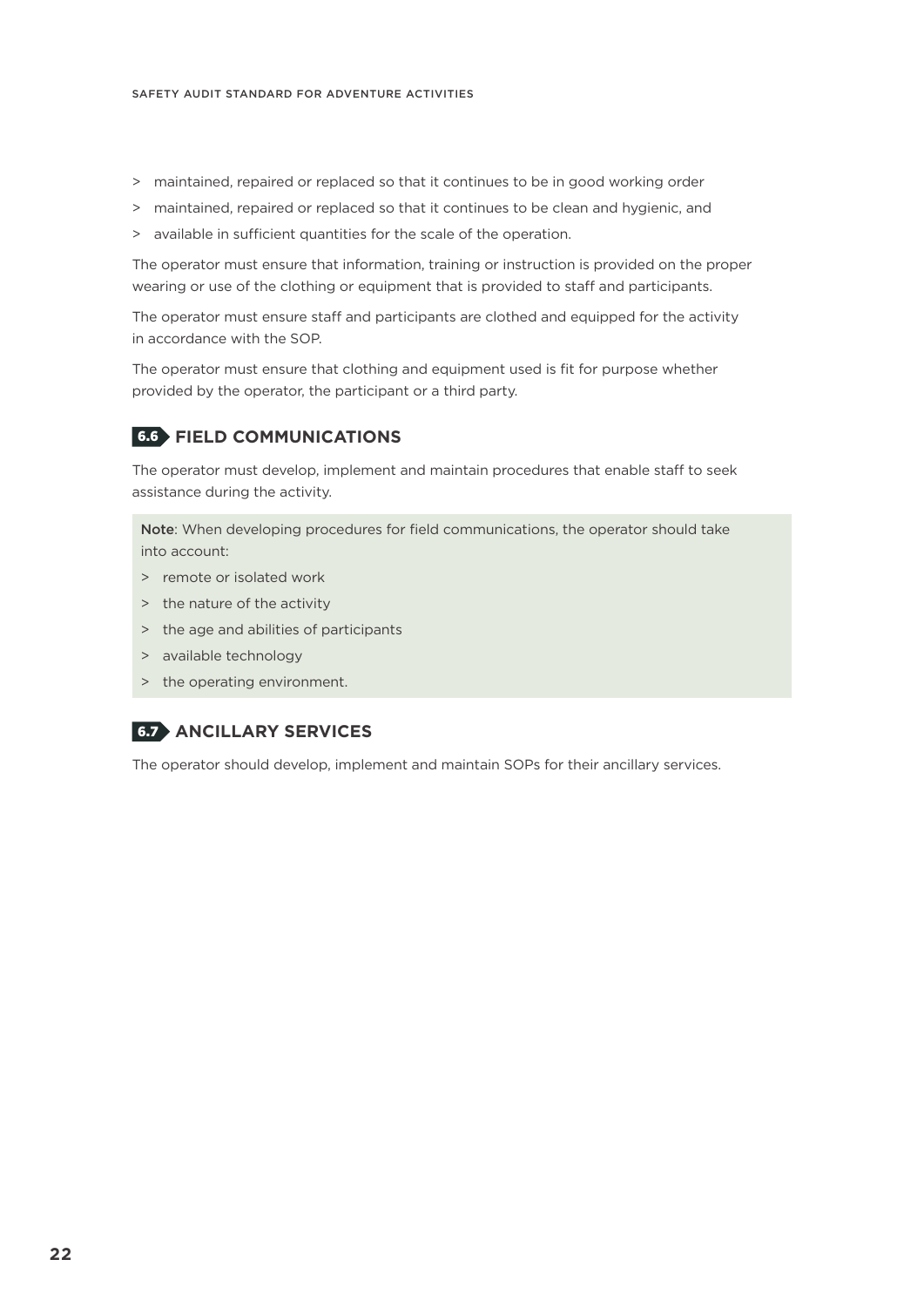- > maintained, repaired or replaced so that it continues to be in good working order
- > maintained, repaired or replaced so that it continues to be clean and hygienic, and
- > available in sufficient quantities for the scale of the operation.

The operator must ensure that information, training or instruction is provided on the proper wearing or use of the clothing or equipment that is provided to staff and participants.

The operator must ensure staff and participants are clothed and equipped for the activity in accordance with the SOP.

The operator must ensure that clothing and equipment used is fit for purpose whether provided by the operator, the participant or a third party.

#### 6.6 **FIELD COMMUNICATIONS**

The operator must develop, implement and maintain procedures that enable staff to seek assistance during the activity.

Note: When developing procedures for field communications, the operator should take into account:

- > remote or isolated work
- > the nature of the activity
- > the age and abilities of participants
- > available technology
- > the operating environment.

#### 6.7 **ANCILLARY SERVICES**

The operator should develop, implement and maintain SOPs for their ancillary services.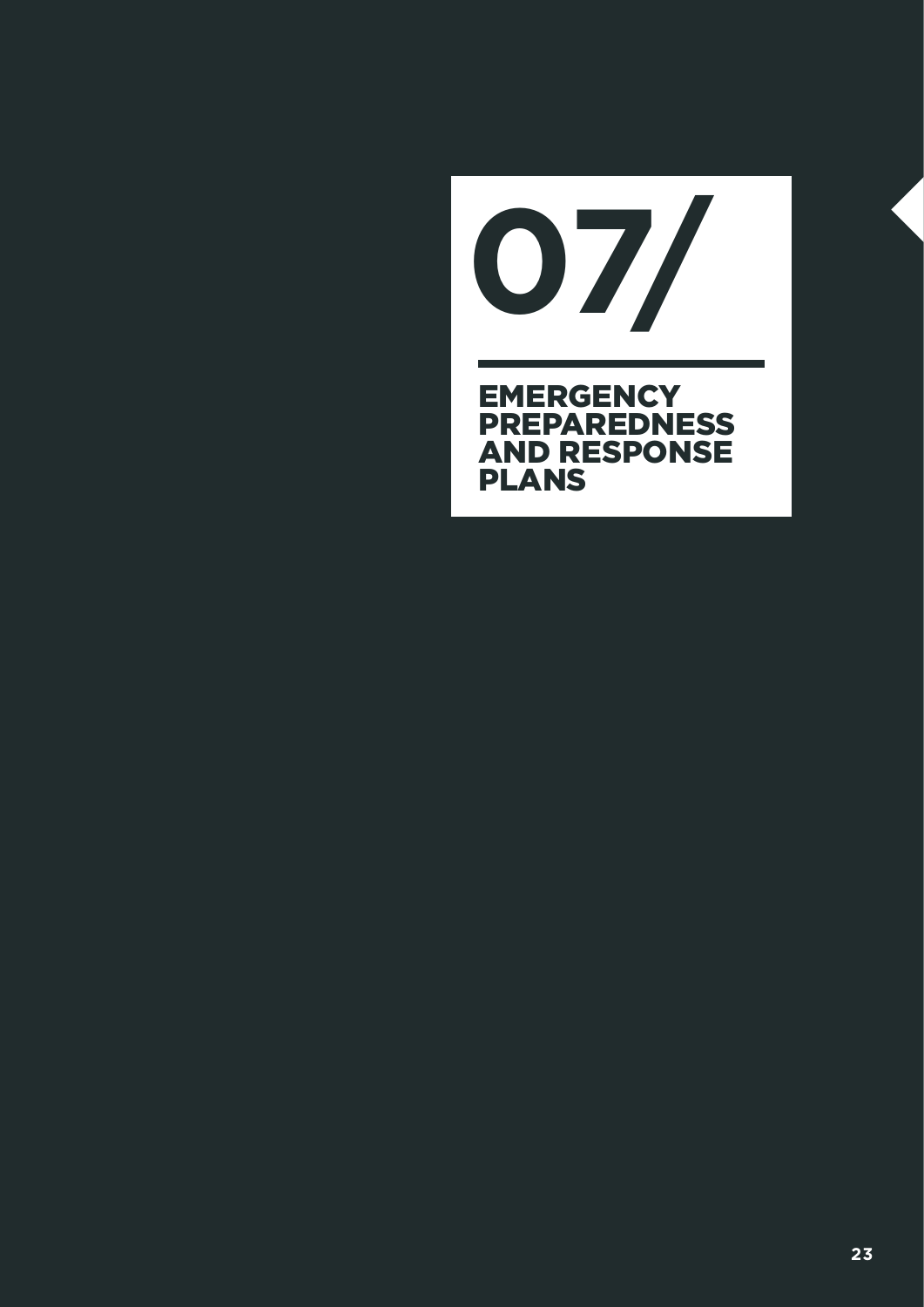**EMERGENCY PREPAREDNESS** AND RESPONSE PLANS **07/**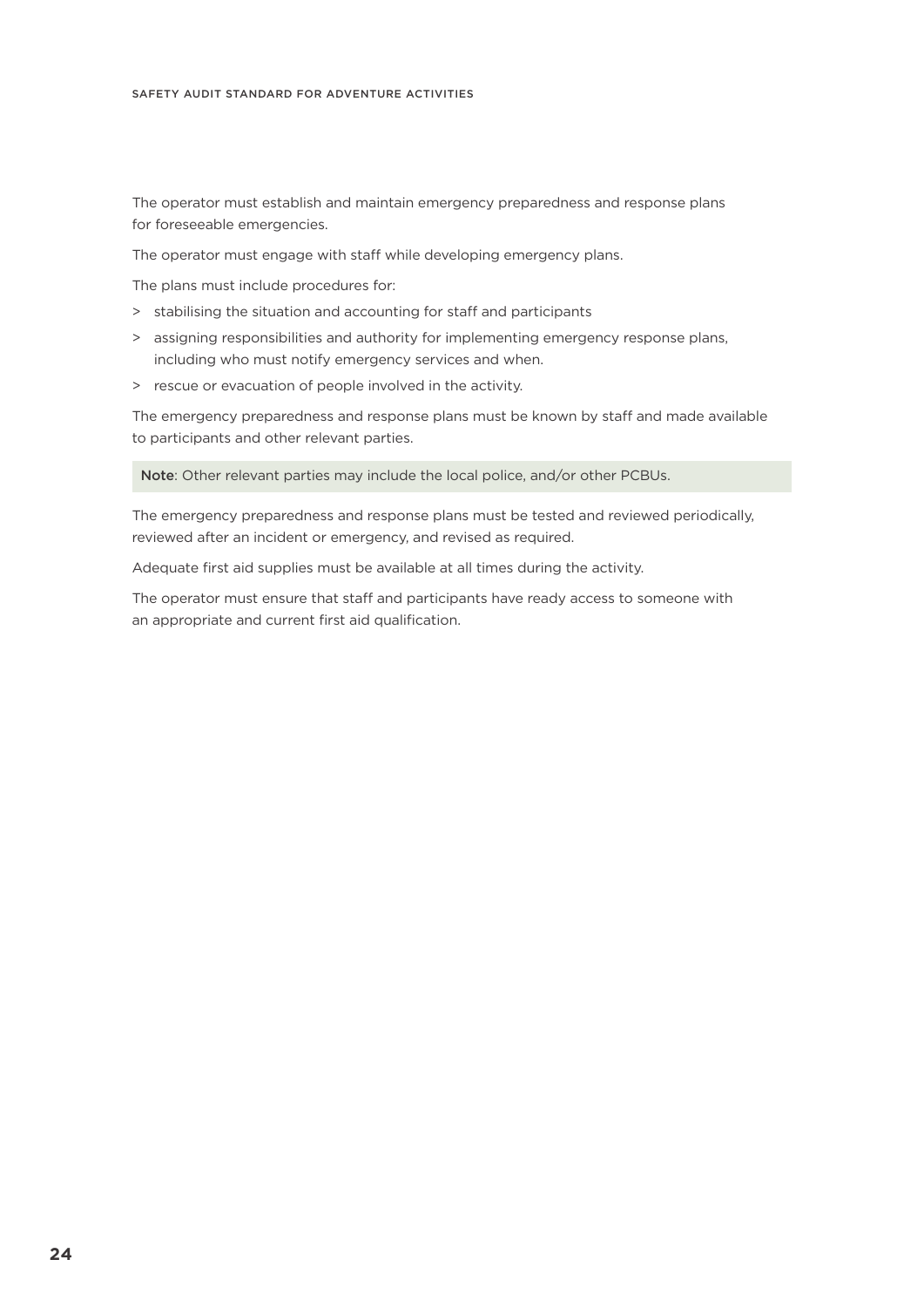The operator must establish and maintain emergency preparedness and response plans for foreseeable emergencies.

The operator must engage with staff while developing emergency plans.

The plans must include procedures for:

- > stabilising the situation and accounting for staff and participants
- > assigning responsibilities and authority for implementing emergency response plans, including who must notify emergency services and when.
- > rescue or evacuation of people involved in the activity.

The emergency preparedness and response plans must be known by staff and made available to participants and other relevant parties.

Note: Other relevant parties may include the local police, and/or other PCBUs.

The emergency preparedness and response plans must be tested and reviewed periodically, reviewed after an incident or emergency, and revised as required.

Adequate first aid supplies must be available at all times during the activity.

The operator must ensure that staff and participants have ready access to someone with an appropriate and current first aid qualification.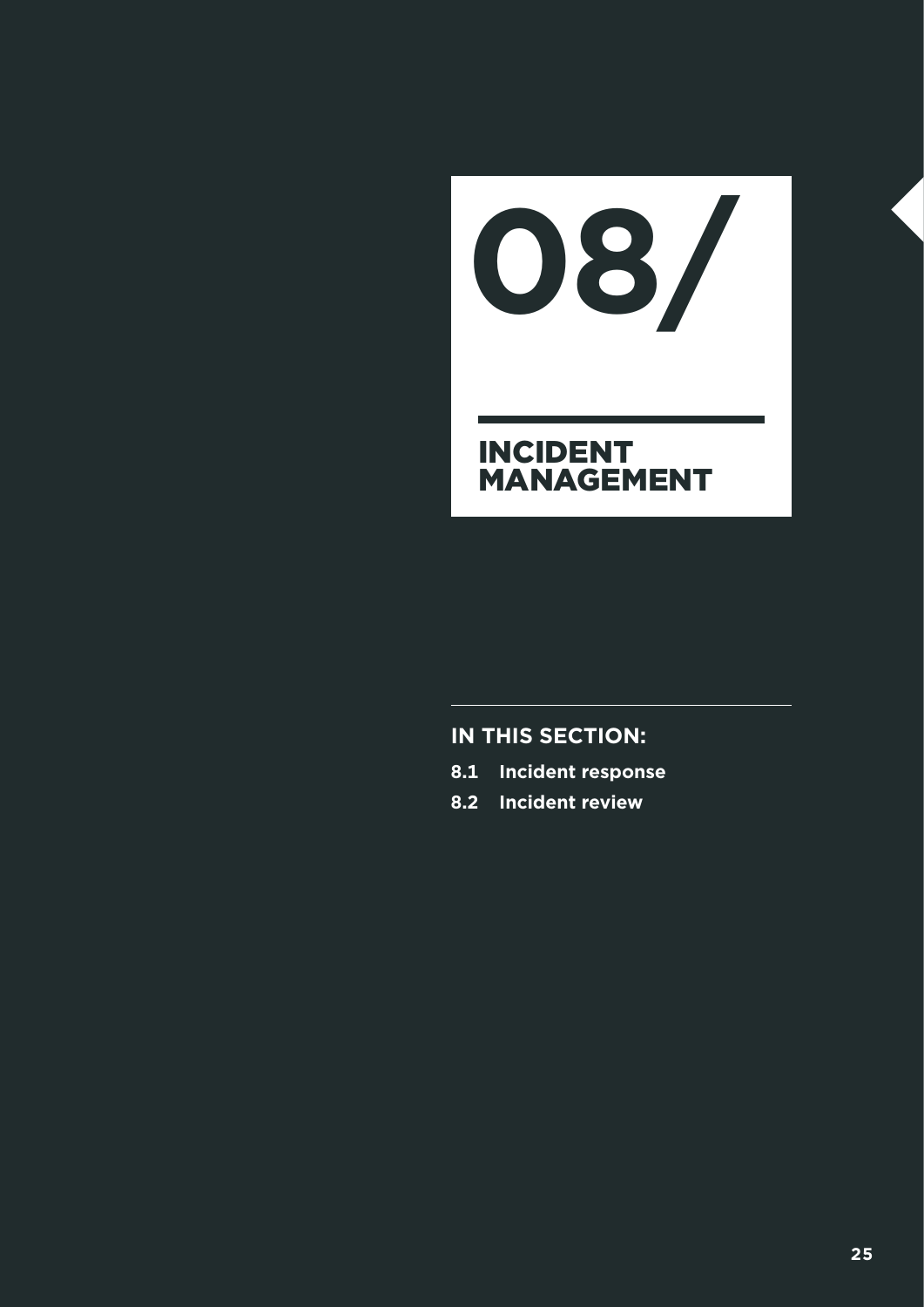INCIDENT MANAGEMENT **08/**

- **8.1 Incident response**
- **8.2 Incident review**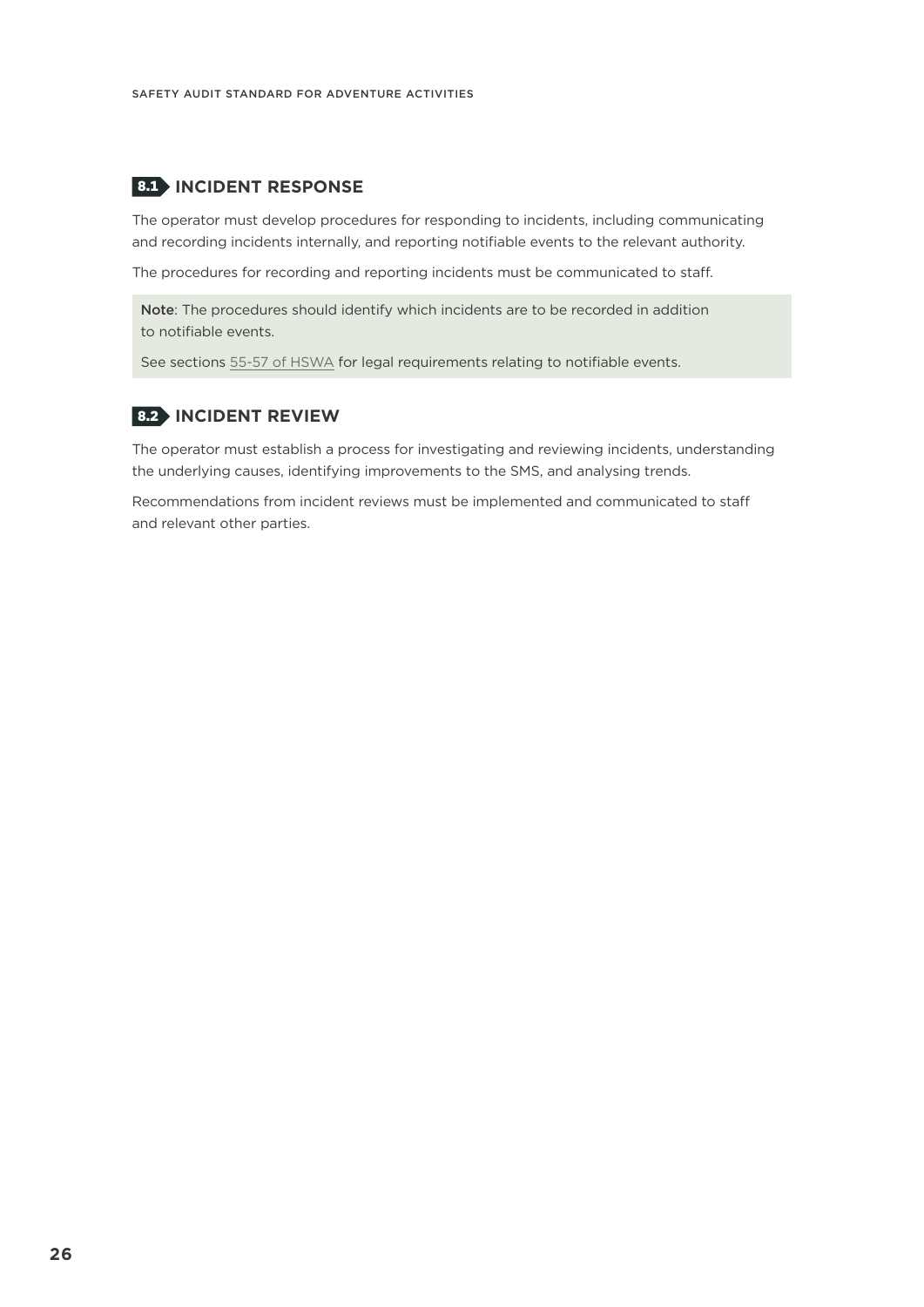#### 8.1 **INCIDENT RESPONSE**

The operator must develop procedures for responding to incidents, including communicating and recording incidents internally, and reporting notifiable events to the relevant authority.

The procedures for recording and reporting incidents must be communicated to staff.

Note: The procedures should identify which incidents are to be recorded in addition to notifiable events.

See sections [55-57 of HSWA](http://www.legislation.govt.nz/act/public/2015/0070/latest/DLM5976939.html) for legal requirements relating to notifiable events.

#### 8.2 **INCIDENT REVIEW**

The operator must establish a process for investigating and reviewing incidents, understanding the underlying causes, identifying improvements to the SMS, and analysing trends.

Recommendations from incident reviews must be implemented and communicated to staff and relevant other parties.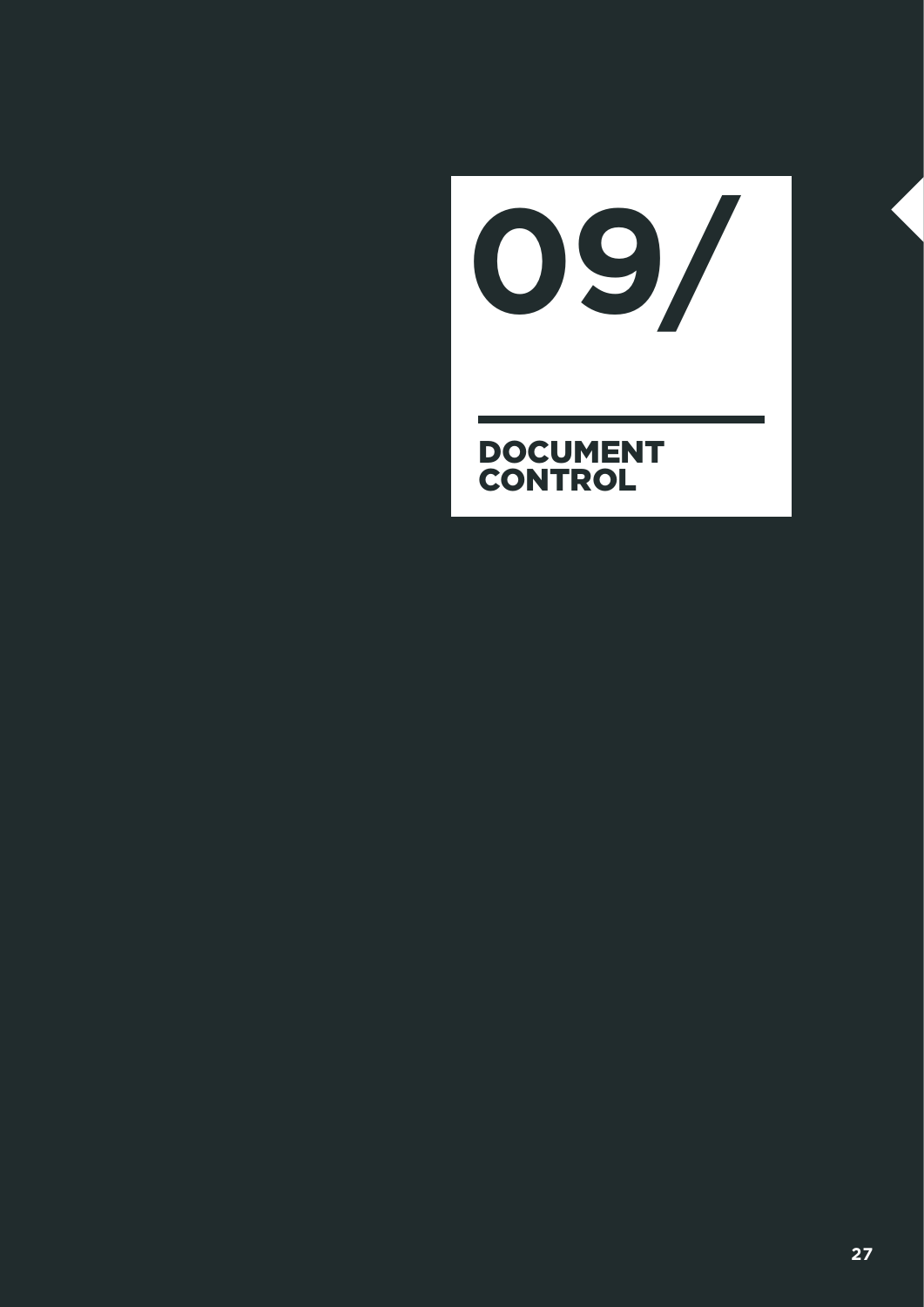DOCUMENT CONTROL **09/**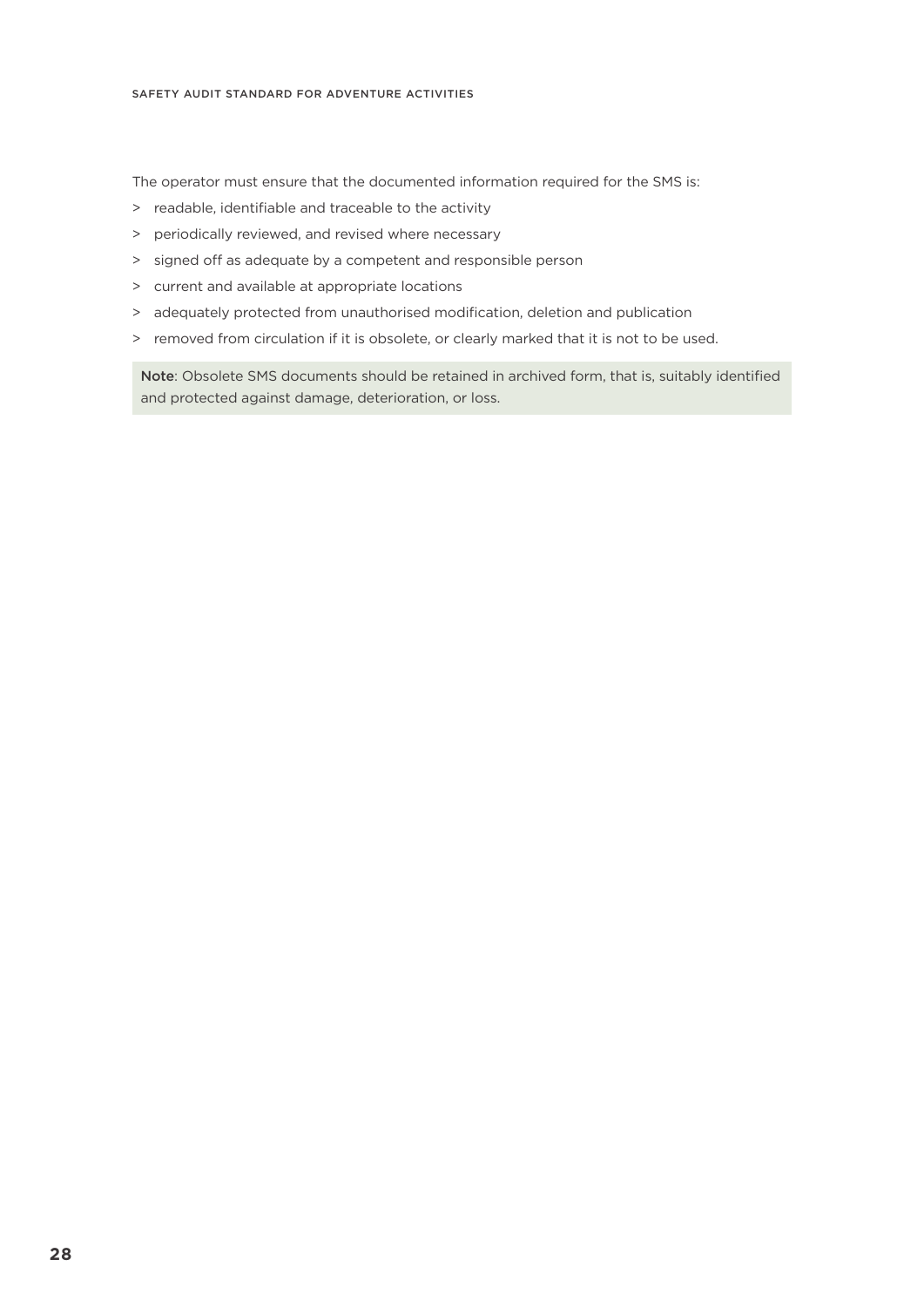The operator must ensure that the documented information required for the SMS is:

- > readable, identifiable and traceable to the activity
- > periodically reviewed, and revised where necessary
- > signed off as adequate by a competent and responsible person
- > current and available at appropriate locations
- > adequately protected from unauthorised modification, deletion and publication
- > removed from circulation if it is obsolete, or clearly marked that it is not to be used.

Note: Obsolete SMS documents should be retained in archived form, that is, suitably identified and protected against damage, deterioration, or loss.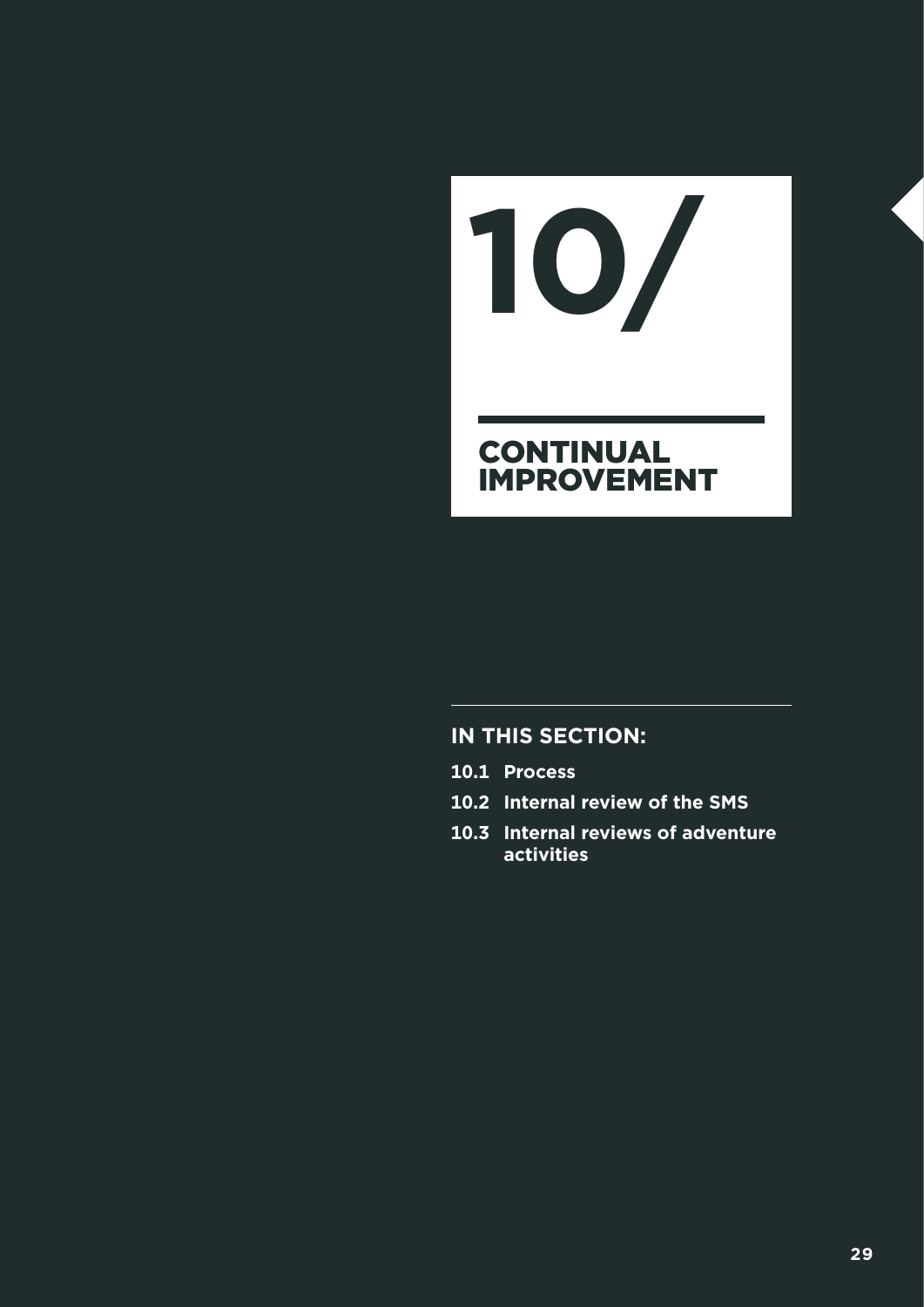## **CONTINUAL** IMPROVEMENT **10/**

- **10.1 Process**
- **10.2 Internal review of the SMS**
- **10.3 Internal reviews of adventure activities**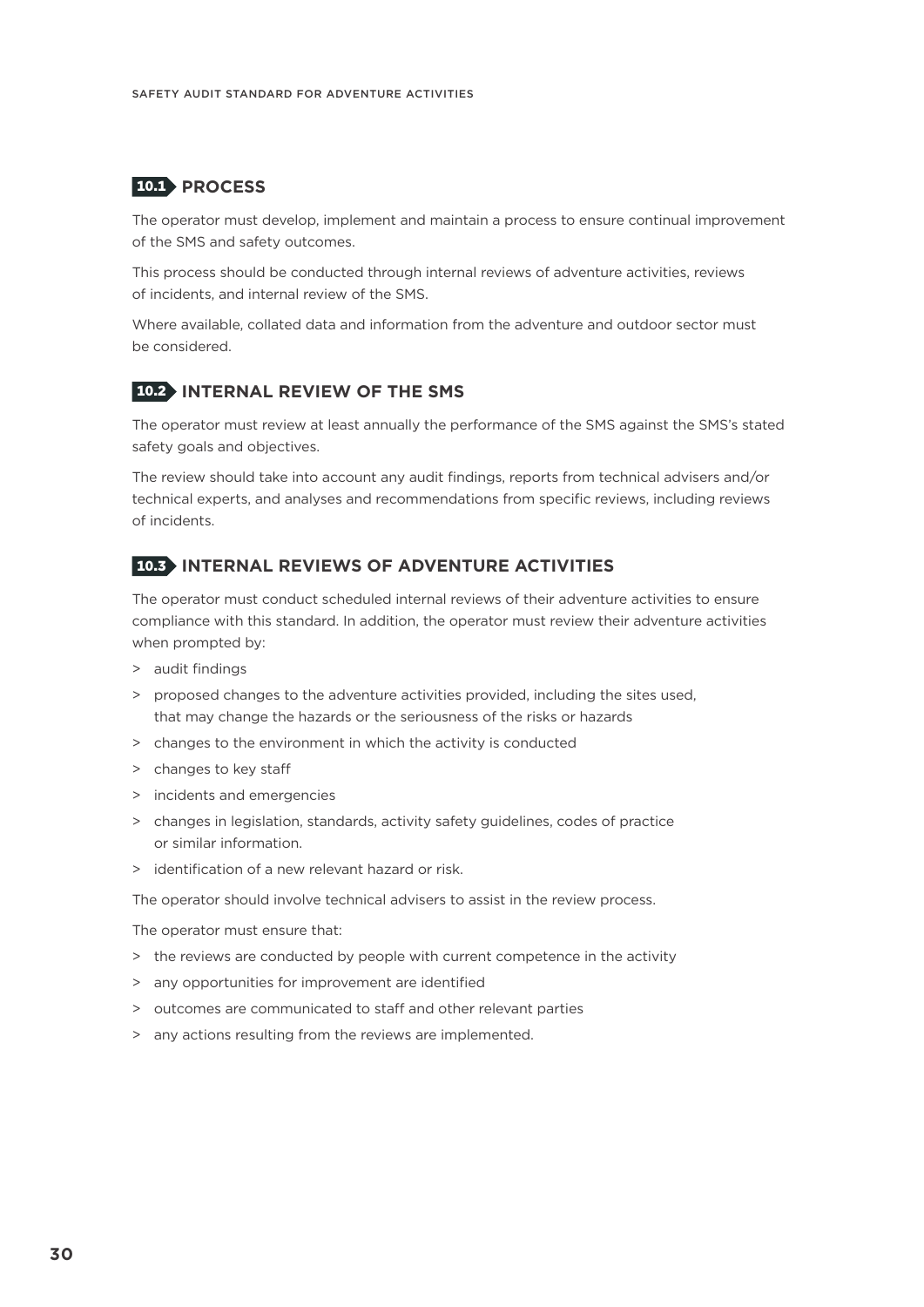#### 10.1 **PROCESS**

The operator must develop, implement and maintain a process to ensure continual improvement of the SMS and safety outcomes.

This process should be conducted through internal reviews of adventure activities, reviews of incidents, and internal review of the SMS.

Where available, collated data and information from the adventure and outdoor sector must be considered.

#### 10.2 **INTERNAL REVIEW OF THE SMS**

The operator must review at least annually the performance of the SMS against the SMS's stated safety goals and objectives.

The review should take into account any audit findings, reports from technical advisers and/or technical experts, and analyses and recommendations from specific reviews, including reviews of incidents.

#### 10.3 **INTERNAL REVIEWS OF ADVENTURE ACTIVITIES**

The operator must conduct scheduled internal reviews of their adventure activities to ensure compliance with this standard. In addition, the operator must review their adventure activities when prompted by:

- > audit findings
- > proposed changes to the adventure activities provided, including the sites used, that may change the hazards or the seriousness of the risks or hazards
- > changes to the environment in which the activity is conducted
- > changes to key staff
- > incidents and emergencies
- > changes in legislation, standards, activity safety guidelines, codes of practice or similar information.
- > identification of a new relevant hazard or risk.

The operator should involve technical advisers to assist in the review process.

The operator must ensure that:

- > the reviews are conducted by people with current competence in the activity
- > any opportunities for improvement are identified
- > outcomes are communicated to staff and other relevant parties
- > any actions resulting from the reviews are implemented.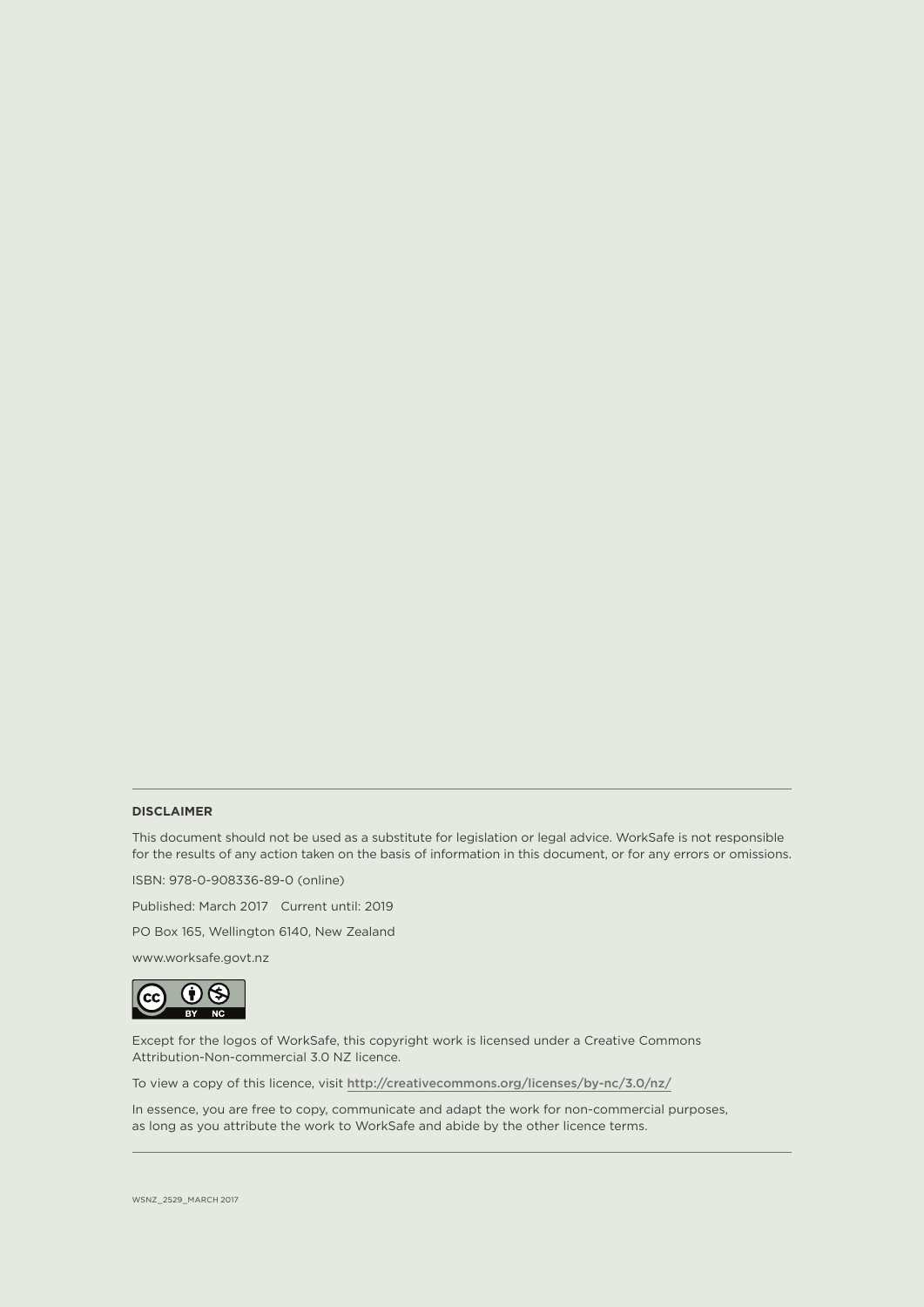#### **DISCLAIMER**

This document should not be used as a substitute for legislation or legal advice. WorkSafe is not responsible for the results of any action taken on the basis of information in this document, or for any errors or omissions.

ISBN: 978-0-908336-89-0 (online)

Published: March 2017 Current until: 2019

PO Box 165, Wellington 6140, New Zealand

www.worksafe.govt.nz



Except for the logos of WorkSafe, this copyright work is licensed under a Creative Commons Attribution-Non-commercial 3.0 NZ licence.

To view a copy of this licence, visit http://creativecommons.org/licenses/by-nc/3.0/nz/

In essence, you are free to copy, communicate and adapt the work for non-commercial purposes, as long as you attribute the work to WorkSafe and abide by the other licence terms.